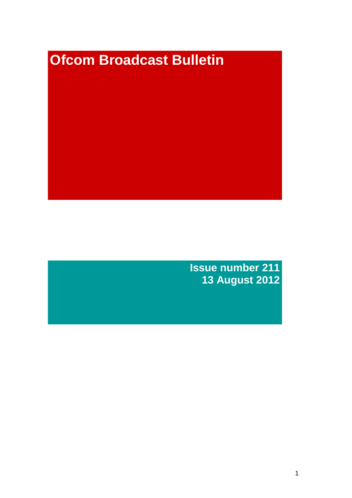# **Ofcom Broadcast Bulletin**

**Issue number 211 13 August 2012**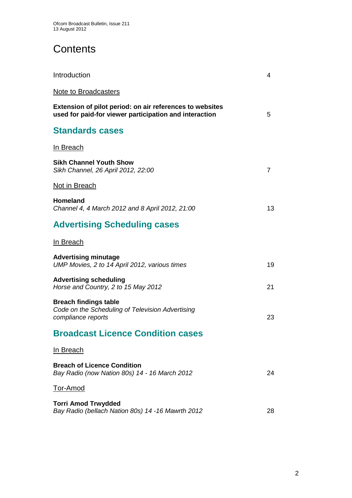# **Contents**

| Introduction                                                                                                       | 4              |
|--------------------------------------------------------------------------------------------------------------------|----------------|
| Note to Broadcasters                                                                                               |                |
| Extension of pilot period: on air references to websites<br>used for paid-for viewer participation and interaction | 5              |
| <b>Standards cases</b>                                                                                             |                |
| In Breach                                                                                                          |                |
| <b>Sikh Channel Youth Show</b><br>Sikh Channel, 26 April 2012, 22:00                                               | $\overline{7}$ |
| <b>Not in Breach</b>                                                                                               |                |
| <b>Homeland</b><br>Channel 4, 4 March 2012 and 8 April 2012, 21:00                                                 | 13             |
| <b>Advertising Scheduling cases</b>                                                                                |                |
| In Breach                                                                                                          |                |
| <b>Advertising minutage</b><br>UMP Movies, 2 to 14 April 2012, various times                                       | 19             |
| <b>Advertising scheduling</b><br>Horse and Country, 2 to 15 May 2012                                               | 21             |
| <b>Breach findings table</b><br>Code on the Scheduling of Television Advertising<br>compliance reports             | 23             |
| <b>Broadcast Licence Condition cases</b>                                                                           |                |
| <b>In Breach</b>                                                                                                   |                |
| <b>Breach of Licence Condition</b><br>Bay Radio (now Nation 80s) 14 - 16 March 2012                                | 24             |
| Tor-Amod                                                                                                           |                |
| <b>Torri Amod Trwydded</b><br>Bay Radio (bellach Nation 80s) 14 -16 Mawrth 2012                                    | 28             |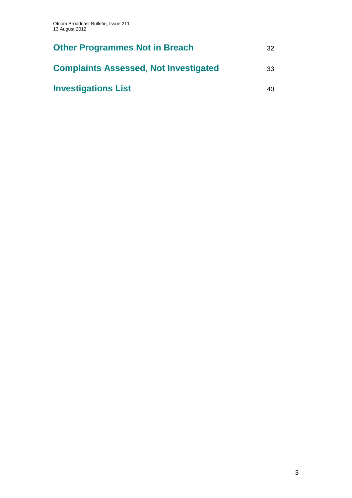| <b>Other Programmes Not in Breach</b>        | 32 |
|----------------------------------------------|----|
| <b>Complaints Assessed, Not Investigated</b> | 33 |
| <b>Investigations List</b>                   | 40 |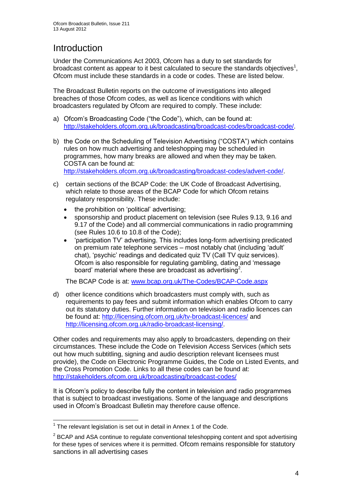# **Introduction**

Under the Communications Act 2003, Ofcom has a duty to set standards for broadcast content as appear to it best calculated to secure the standards objectives<sup>1</sup>, Ofcom must include these standards in a code or codes. These are listed below.

The Broadcast Bulletin reports on the outcome of investigations into alleged breaches of those Ofcom codes, as well as licence conditions with which broadcasters regulated by Ofcom are required to comply. These include:

- a) Ofcom's Broadcasting Code ("the Code"), which, can be found at: [http://stakeholders.ofcom.org.uk/broadcasting/broadcast-codes/broadcast-code/.](http://stakeholders.ofcom.org.uk/broadcasting/broadcast-codes/broadcast-code/)
- b) the Code on the Scheduling of Television Advertising ("COSTA") which contains rules on how much advertising and teleshopping may be scheduled in programmes, how many breaks are allowed and when they may be taken. COSTA can be found at: [http://stakeholders.ofcom.org.uk/broadcasting/broadcast-codes/advert-code/.](http://stakeholders.ofcom.org.uk/broadcasting/broadcast-codes/advert-code/)

c) certain sections of the BCAP Code: the UK Code of Broadcast Advertising, which relate to those areas of the BCAP Code for which Ofcom retains regulatory responsibility. These include:

- the prohibition on 'political' advertising;
- sponsorship and product placement on television (see Rules 9.13, 9.16 and 9.17 of the Code) and all commercial communications in radio programming (see Rules 10.6 to 10.8 of the Code);
- 'participation TV' advertising. This includes long-form advertising predicated on premium rate telephone services – most notably chat (including 'adult' chat), 'psychic' readings and dedicated quiz TV (Call TV quiz services). Ofcom is also responsible for regulating gambling, dating and 'message board' material where these are broadcast as advertising<sup>2</sup>.

The BCAP Code is at: [www.bcap.org.uk/The-Codes/BCAP-Code.aspx](http://www.bcap.org.uk/The-Codes/BCAP-Code.aspx)

d) other licence conditions which broadcasters must comply with, such as requirements to pay fees and submit information which enables Ofcom to carry out its statutory duties. Further information on television and radio licences can be found at:<http://licensing.ofcom.org.uk/tv-broadcast-licences/> and [http://licensing.ofcom.org.uk/radio-broadcast-licensing/.](http://licensing.ofcom.org.uk/radio-broadcast-licensing/)

Other codes and requirements may also apply to broadcasters, depending on their circumstances. These include the Code on Television Access Services (which sets out how much subtitling, signing and audio description relevant licensees must provide), the Code on Electronic Programme Guides, the Code on Listed Events, and the Cross Promotion Code. Links to all these codes can be found at: <http://stakeholders.ofcom.org.uk/broadcasting/broadcast-codes/>

It is Ofcom's policy to describe fully the content in television and radio programmes that is subject to broadcast investigations. Some of the language and descriptions used in Ofcom's Broadcast Bulletin may therefore cause offence.

<sup>1</sup>  $1$  The relevant legislation is set out in detail in Annex 1 of the Code.

 $2$  BCAP and ASA continue to regulate conventional teleshopping content and spot advertising for these types of services where it is permitted. Ofcom remains responsible for statutory sanctions in all advertising cases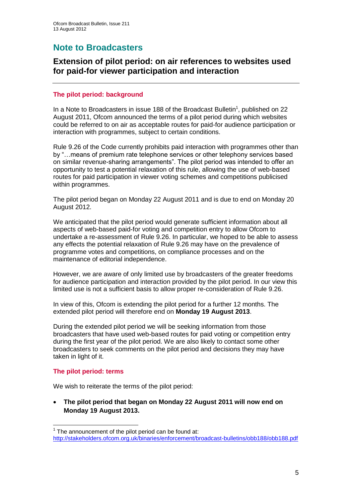## **Note to Broadcasters**

## **Extension of pilot period: on air references to websites used for paid-for viewer participation and interaction**

#### **The pilot period: background**

In a Note to Broadcasters in issue 188 of the Broadcast Bulletin<sup>1</sup>, published on 22 August 2011, Ofcom announced the terms of a pilot period during which websites could be referred to on air as acceptable routes for paid-for audience participation or interaction with programmes, subject to certain conditions.

Rule 9.26 of the Code currently prohibits paid interaction with programmes other than by "…means of premium rate telephone services or other telephony services based on similar revenue-sharing arrangements". The pilot period was intended to offer an opportunity to test a potential relaxation of this rule, allowing the use of web-based routes for paid participation in viewer voting schemes and competitions publicised within programmes.

The pilot period began on Monday 22 August 2011 and is due to end on Monday 20 August 2012.

We anticipated that the pilot period would generate sufficient information about all aspects of web-based paid-for voting and competition entry to allow Ofcom to undertake a re-assessment of Rule 9.26. In particular, we hoped to be able to assess any effects the potential relaxation of Rule 9.26 may have on the prevalence of programme votes and competitions, on compliance processes and on the maintenance of editorial independence.

However, we are aware of only limited use by broadcasters of the greater freedoms for audience participation and interaction provided by the pilot period. In our view this limited use is not a sufficient basis to allow proper re-consideration of Rule 9.26.

In view of this, Ofcom is extending the pilot period for a further 12 months. The extended pilot period will therefore end on **Monday 19 August 2013**.

During the extended pilot period we will be seeking information from those broadcasters that have used web-based routes for paid voting or competition entry during the first year of the pilot period. We are also likely to contact some other broadcasters to seek comments on the pilot period and decisions they may have taken in light of it.

#### **The pilot period: terms**

1

We wish to reiterate the terms of the pilot period:

 **The pilot period that began on Monday 22 August 2011 will now end on Monday 19 August 2013.**

 $1$  The announcement of the pilot period can be found at: <http://stakeholders.ofcom.org.uk/binaries/enforcement/broadcast-bulletins/obb188/obb188.pdf>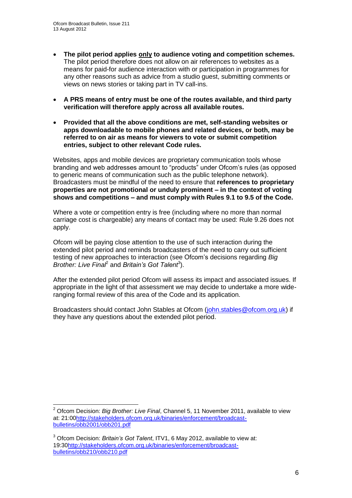- **The pilot period applies only to audience voting and competition schemes.** The pilot period therefore does not allow on air references to websites as a means for paid-for audience interaction with or participation in programmes for any other reasons such as advice from a studio guest, submitting comments or views on news stories or taking part in TV call-ins.
- **A PRS means of entry must be one of the routes available, and third party verification will therefore apply across all available routes.**
- **Provided that all the above conditions are met, self-standing websites or apps downloadable to mobile phones and related devices, or both, may be referred to on air as means for viewers to vote or submit competition entries, subject to other relevant Code rules.**

Websites, apps and mobile devices are proprietary communication tools whose branding and web addresses amount to "products" under Ofcom's rules (as opposed to generic means of communication such as the public telephone network). Broadcasters must be mindful of the need to ensure that **references to proprietary properties are not promotional or unduly prominent – in the context of voting shows and competitions – and must comply with Rules 9.1 to 9.5 of the Code.**

Where a vote or competition entry is free (including where no more than normal carriage cost is chargeable) any means of contact may be used: Rule 9.26 does not apply.

Ofcom will be paying close attention to the use of such interaction during the extended pilot period and reminds broadcasters of the need to carry out sufficient testing of new approaches to interaction (see Ofcom's decisions regarding *Big*  Brother: Live Final<sup>2</sup> and Britain's Got Talent<sup>3</sup>).

After the extended pilot period Ofcom will assess its impact and associated issues. If appropriate in the light of that assessment we may decide to undertake a more wideranging formal review of this area of the Code and its application.

Broadcasters should contact John Stables at Ofcom [\(john.stables@ofcom.org.uk\)](mailto:john.stables@ofcom.org.uk) if they have any questions about the extended pilot period.

<sup>2</sup> Ofcom Decision: *Big Brother: Live Final*, Channel 5, 11 November 2011, available to view at: 21:0[0http://stakeholders.ofcom.org.uk/binaries/enforcement/broadcast](http://stakeholders.ofcom.org.uk/binaries/enforcement/broadcast-bulletins/obb2001/obb201.pdf)[bulletins/obb2001/obb201.pdf](http://stakeholders.ofcom.org.uk/binaries/enforcement/broadcast-bulletins/obb2001/obb201.pdf)

<sup>3</sup> Ofcom Decision: *Britain's Got Talent*, ITV1, 6 May 2012, available to view at: 19:3[0http://stakeholders.ofcom.org.uk/binaries/enforcement/broadcast](http://stakeholders.ofcom.org.uk/binaries/enforcement/broadcast-bulletins/obb210/obb210.pdf)[bulletins/obb210/obb210.pdf](http://stakeholders.ofcom.org.uk/binaries/enforcement/broadcast-bulletins/obb210/obb210.pdf)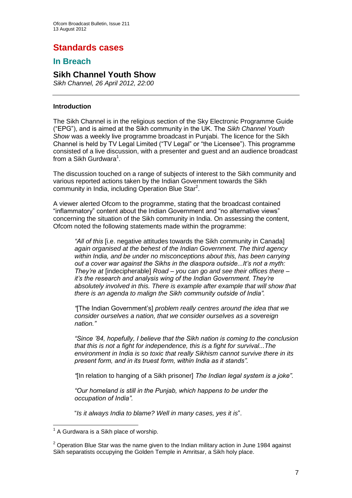# **Standards cases**

## **In Breach**

## **Sikh Channel Youth Show**

*Sikh Channel, 26 April 2012, 22:00*

#### **Introduction**

The Sikh Channel is in the religious section of the Sky Electronic Programme Guide ("EPG"), and is aimed at the Sikh community in the UK. The *Sikh Channel Youth Show* was a weekly live programme broadcast in Punjabi. The licence for the Sikh Channel is held by TV Legal Limited ("TV Legal" or "the Licensee"). This programme consisted of a live discussion, with a presenter and guest and an audience broadcast from a Sikh Gurdwara<sup>1</sup>.

The discussion touched on a range of subjects of interest to the Sikh community and various reported actions taken by the Indian Government towards the Sikh community in India, including Operation Blue Star<sup>2</sup>.

A viewer alerted Ofcom to the programme, stating that the broadcast contained "inflammatory" content about the Indian Government and "no alternative views" concerning the situation of the Sikh community in India. On assessing the content, Ofcom noted the following statements made within the programme:

*"All of this* [i.e. negative attitudes towards the Sikh community in Canada] *again organised at the behest of the Indian Government. The third agency within India, and be under no misconceptions about this, has been carrying out a cover war against the Sikhs in the diaspora outside...It's not a myth: They're at* [indecipherable] *Road – you can go and see their offices there – it's the research and analysis wing of the Indian Government. They're absolutely involved in this. There is example after example that will show that there is an agenda to malign the Sikh community outside of India".*

*"*[The Indian Government's] *problem really centres around the idea that we consider ourselves a nation, that we consider ourselves as a sovereign nation."*

*"Since '84, hopefully, I believe that the Sikh nation is coming to the conclusion that this is not a fight for independence, this is a fight for survival...The environment in India is so toxic that really Sikhism cannot survive there in its present form, and in its truest form, within India as it stands".*

*"*[In relation to hanging of a Sikh prisoner] *The Indian legal system is a joke".*

*"Our homeland is still in the Punjab, which happens to be under the occupation of India".*

"*Is it always India to blame? Well in many cases, yes it is*".

<sup>1</sup>  $<sup>1</sup>$  A Gurdwara is a Sikh place of worship.</sup>

 $2$  Operation Blue Star was the name given to the Indian military action in June 1984 against Sikh separatists occupying the Golden Temple in Amritsar, a Sikh holy place.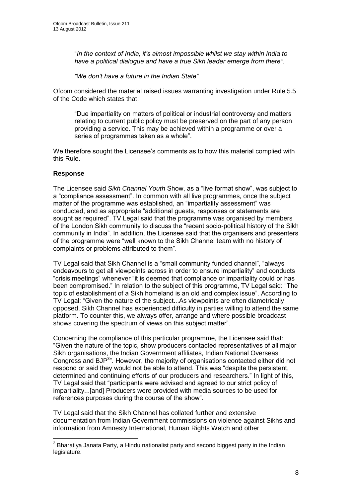"*In the context of India, it's almost impossible whilst we stay within India to have a political dialogue and have a true Sikh leader emerge from there".*

*"We don't have a future in the Indian State".*

Ofcom considered the material raised issues warranting investigation under Rule 5.5 of the Code which states that:

"Due impartiality on matters of political or industrial controversy and matters relating to current public policy must be preserved on the part of any person providing a service. This may be achieved within a programme or over a series of programmes taken as a whole".

We therefore sought the Licensee's comments as to how this material complied with this Rule.

#### **Response**

The Licensee said *Sikh Channel Youth* Show, as a "live format show", was subject to a "compliance assessment". In common with all live programmes, once the subject matter of the programme was established, an "impartiality assessment" was conducted, and as appropriate "additional guests, responses or statements are sought as required". TV Legal said that the programme was organised by members of the London Sikh community to discuss the "recent socio-political history of the Sikh community in India". In addition, the Licensee said that the organisers and presenters of the programme were "well known to the Sikh Channel team with no history of complaints or problems attributed to them".

TV Legal said that Sikh Channel is a "small community funded channel", "always endeavours to get all viewpoints across in order to ensure impartiality" and conducts "crisis meetings" whenever "it is deemed that compliance or impartiality could or has been compromised." In relation to the subject of this programme, TV Legal said: "The topic of establishment of a Sikh homeland is an old and complex issue". According to TV Legal: "Given the nature of the subject...As viewpoints are often diametrically opposed, Sikh Channel has experienced difficulty in parties willing to attend the same platform. To counter this, we always offer, arrange and where possible broadcast shows covering the spectrum of views on this subject matter".

Concerning the compliance of this particular programme, the Licensee said that: "Given the nature of the topic, show producers contacted representatives of all major Sikh organisations, the Indian Government affiliates, Indian National Overseas Congress and BJP<sup>3</sup>". However, the majority of organisations contacted either did not respond or said they would not be able to attend. This was "despite the persistent, determined and continuing efforts of our producers and researchers." In light of this, TV Legal said that "participants were advised and agreed to our strict policy of impartiality...[and] Producers were provided with media sources to be used for references purposes during the course of the show".

TV Legal said that the Sikh Channel has collated further and extensive documentation from Indian Government commissions on violence against Sikhs and information from Amnesty International, Human Rights Watch and other

 3 Bharatiya Janata Party, a Hindu nationalist party and second biggest party in the Indian legislature.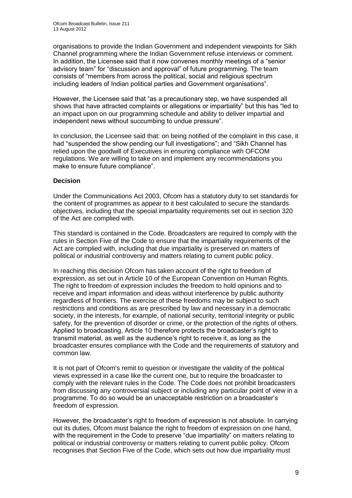organisations to provide the Indian Government and independent viewpoints for Sikh Channel programming where the Indian Government refuse interviews or comment. In addition, the Licensee said that it now convenes monthly meetings of a "senior advisory team" for "discussion and approval" of future programming. The team consists of "members from across the political, social and religious spectrum including leaders of Indian political parties and Government organisations".

However, the Licensee said that "as a precautionary step, we have suspended all shows that have attracted complaints or allegations or impartiality" but this has "led to an impact upon on our programming schedule and ability to deliver impartial and independent news without succumbing to undue pressure".

In conclusion, the Licensee said that: on being notified of the complaint in this case, it had "suspended the show pending our full investigations"; and "Sikh Channel has relied upon the goodwill of Executives in ensuring compliance with OFCOM regulations. We are willing to take on and implement any recommendations you make to ensure future compliance".

#### **Decision**

Under the Communications Act 2003, Ofcom has a statutory duty to set standards for the content of programmes as appear to it best calculated to secure the standards objectives, including that the special impartiality requirements set out in section 320 of the Act are complied with.

This standard is contained in the Code. Broadcasters are required to comply with the rules in Section Five of the Code to ensure that the impartiality requirements of the Act are complied with, including that due impartiality is preserved on matters of political or industrial controversy and matters relating to current public policy.

In reaching this decision Ofcom has taken account of the right to freedom of expression, as set out in Article 10 of the European Convention on Human Rights. The right to freedom of expression includes the freedom to hold opinions and to receive and impart information and ideas without interference by public authority regardless of frontiers. The exercise of these freedoms may be subject to such restrictions and conditions as are prescribed by law and necessary in a democratic society, in the interests, for example, of national security, territorial integrity or public safety, for the prevention of disorder or crime, or the protection of the rights of others. Applied to broadcasting, Article 10 therefore protects the broadcaster's right to transmit material, as well as the audience's right to receive it, as long as the broadcaster ensures compliance with the Code and the requirements of statutory and common law.

It is not part of Ofcom's remit to question or investigate the validity of the political views expressed in a case like the current one, but to require the broadcaster to comply with the relevant rules in the Code. The Code does not prohibit broadcasters from discussing any controversial subject or including any particular point of view in a programme. To do so would be an unacceptable restriction on a broadcaster's freedom of expression.

However, the broadcaster's right to freedom of expression is not absolute. In carrying out its duties, Ofcom must balance the right to freedom of expression on one hand, with the requirement in the Code to preserve "due impartiality" on matters relating to political or industrial controversy or matters relating to current public policy. Ofcom recognises that Section Five of the Code, which sets out how due impartiality must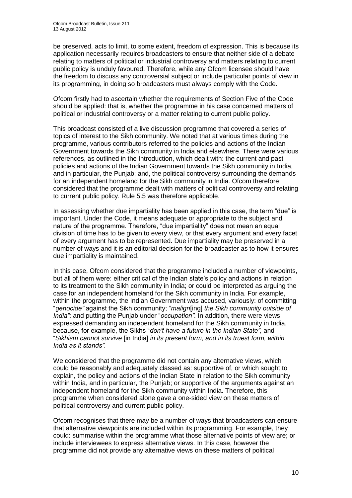be preserved, acts to limit, to some extent, freedom of expression. This is because its application necessarily requires broadcasters to ensure that neither side of a debate relating to matters of political or industrial controversy and matters relating to current public policy is unduly favoured. Therefore, while any Ofcom licensee should have the freedom to discuss any controversial subject or include particular points of view in its programming, in doing so broadcasters must always comply with the Code.

Ofcom firstly had to ascertain whether the requirements of Section Five of the Code should be applied: that is, whether the programme in his case concerned matters of political or industrial controversy or a matter relating to current public policy.

This broadcast consisted of a live discussion programme that covered a series of topics of interest to the Sikh community. We noted that at various times during the programme, various contributors referred to the policies and actions of the Indian Government towards the Sikh community in India and elsewhere. There were various references, as outlined in the Introduction, which dealt with: the current and past policies and actions of the Indian Government towards the Sikh community in India, and in particular, the Punjab; and, the political controversy surrounding the demands for an independent homeland for the Sikh community in India. Ofcom therefore considered that the programme dealt with matters of political controversy and relating to current public policy. Rule 5.5 was therefore applicable.

In assessing whether due impartiality has been applied in this case, the term "due" is important. Under the Code, it means adequate or appropriate to the subject and nature of the programme. Therefore, "due impartiality" does not mean an equal division of time has to be given to every view, or that every argument and every facet of every argument has to be represented. Due impartiality may be preserved in a number of ways and it is an editorial decision for the broadcaster as to how it ensures due impartiality is maintained.

In this case, Ofcom considered that the programme included a number of viewpoints, but all of them were: either critical of the Indian state's policy and actions in relation to its treatment to the Sikh community in India; or could be interpreted as arguing the case for an independent homeland for the Sikh community in India. For example, within the programme, the Indian Government was accused, variously: of committing "*genocide"* against the Sikh community; "*malign*[ing] *the Sikh community outside of India"*: and putting the Punjab under "*occupation".* In addition, there were views expressed demanding an independent homeland for the Sikh community in India, because, for example, the Sikhs "*don't have a future in the Indian State",* and "*Sikhism cannot survive* [in India] *in its present form, and in its truest form, within India as it stands".*

We considered that the programme did not contain any alternative views, which could be reasonably and adequately classed as: supportive of, or which sought to explain, the policy and actions of the Indian State in relation to the Sikh community within India, and in particular, the Punjab; or supportive of the arguments against an independent homeland for the Sikh community within India. Therefore, this programme when considered alone gave a one-sided view on these matters of political controversy and current public policy.

Ofcom recognises that there may be a number of ways that broadcasters can ensure that alternative viewpoints are included within its programming. For example, they could: summarise within the programme what those alternative points of view are; or include interviewees to express alternative views. In this case, however the programme did not provide any alternative views on these matters of political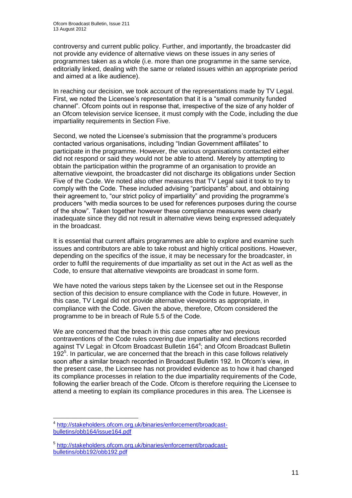controversy and current public policy. Further, and importantly, the broadcaster did not provide any evidence of alternative views on these issues in any series of programmes taken as a whole (i.e. more than one programme in the same service, editorially linked, dealing with the same or related issues within an appropriate period and aimed at a like audience).

In reaching our decision, we took account of the representations made by TV Legal. First, we noted the Licensee's representation that it is a "small community funded channel". Ofcom points out in response that, irrespective of the size of any holder of an Ofcom television service licensee, it must comply with the Code, including the due impartiality requirements in Section Five.

Second, we noted the Licensee's submission that the programme's producers contacted various organisations, including "Indian Government affiliates" to participate in the programme. However, the various organisations contacted either did not respond or said they would not be able to attend. Merely by attempting to obtain the participation within the programme of an organisation to provide an alternative viewpoint, the broadcaster did not discharge its obligations under Section Five of the Code. We noted also other measures that TV Legal said it took to try to comply with the Code. These included advising "participants" about, and obtaining their agreement to, "our strict policy of impartiality" and providing the programme's producers "with media sources to be used for references purposes during the course of the show". Taken together however these compliance measures were clearly inadequate since they did not result in alternative views being expressed adequately in the broadcast.

It is essential that current affairs programmes are able to explore and examine such issues and contributors are able to take robust and highly critical positions. However, depending on the specifics of the issue, it may be necessary for the broadcaster, in order to fulfil the requirements of due impartiality as set out in the Act as well as the Code, to ensure that alternative viewpoints are broadcast in some form.

We have noted the various steps taken by the Licensee set out in the Response section of this decision to ensure compliance with the Code in future. However, in this case, TV Legal did not provide alternative viewpoints as appropriate, in compliance with the Code. Given the above, therefore, Ofcom considered the programme to be in breach of Rule 5.5 of the Code.

We are concerned that the breach in this case comes after two previous contraventions of the Code rules covering due impartiality and elections recorded against TV Legal: in Ofcom Broadcast Bulletin 164<sup>4</sup>; and Ofcom Broadcast Bulletin 192<sup>5</sup>. In particular, we are concerned that the breach in this case follows relatively soon after a similar breach recorded in Broadcast Bulletin 192. In Ofcom's view, in the present case, the Licensee has not provided evidence as to how it had changed its compliance processes in relation to the due impartiality requirements of the Code, following the earlier breach of the Code. Ofcom is therefore requiring the Licensee to attend a meeting to explain its compliance procedures in this area. The Licensee is

<sup>1</sup> 4 [http://stakeholders.ofcom.org.uk/binaries/enforcement/broadcast](http://stakeholders.ofcom.org.uk/binaries/enforcement/broadcast-bulletins/obb164/issue164.pdf)[bulletins/obb164/issue164.pdf](http://stakeholders.ofcom.org.uk/binaries/enforcement/broadcast-bulletins/obb164/issue164.pdf)

<sup>5</sup> [http://stakeholders.ofcom.org.uk/binaries/enforcement/broadcast](http://stakeholders.ofcom.org.uk/binaries/enforcement/broadcast-bulletins/obb192/obb192.pdf)[bulletins/obb192/obb192.pdf](http://stakeholders.ofcom.org.uk/binaries/enforcement/broadcast-bulletins/obb192/obb192.pdf)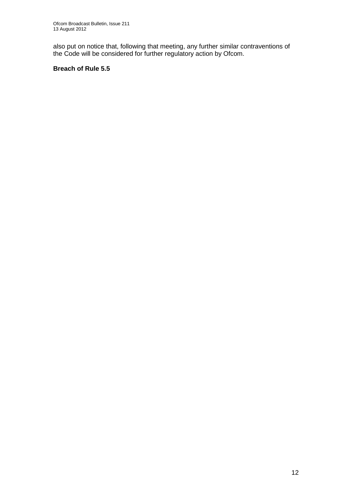also put on notice that, following that meeting, any further similar contraventions of the Code will be considered for further regulatory action by Ofcom.

#### **Breach of Rule 5.5**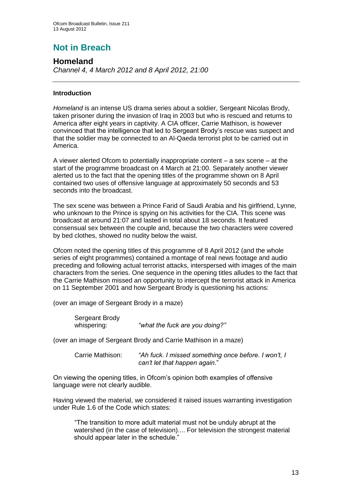# **Not in Breach**

## **Homeland**

*Channel 4, 4 March 2012 and 8 April 2012, 21:00* 

#### **Introduction**

*Homeland* is an intense US drama series about a soldier, Sergeant Nicolas Brody, taken prisoner during the invasion of Iraq in 2003 but who is rescued and returns to America after eight years in captivity. A CIA officer, Carrie Mathison, is however convinced that the intelligence that led to Sergeant Brody's rescue was suspect and that the soldier may be connected to an Al-Qaeda terrorist plot to be carried out in America.

A viewer alerted Ofcom to potentially inappropriate content – a sex scene – at the start of the programme broadcast on 4 March at 21:00. Separately another viewer alerted us to the fact that the opening titles of the programme shown on 8 April contained two uses of offensive language at approximately 50 seconds and 53 seconds into the broadcast.

The sex scene was between a Prince Farid of Saudi Arabia and his girlfriend, Lynne, who unknown to the Prince is spying on his activities for the CIA. This scene was broadcast at around 21:07 and lasted in total about 18 seconds. It featured consensual sex between the couple and, because the two characters were covered by bed clothes, showed no nudity below the waist.

Ofcom noted the opening titles of this programme of 8 April 2012 (and the whole series of eight programmes) contained a montage of real news footage and audio preceding and following actual terrorist attacks, interspersed with images of the main characters from the series. One sequence in the opening titles alludes to the fact that the Carrie Mathison missed an opportunity to intercept the terrorist attack in America on 11 September 2001 and how Sergeant Brody is questioning his actions:

(over an image of Sergeant Brody in a maze)

| Sergeant Brody |                                |
|----------------|--------------------------------|
| whispering:    | "what the fuck are you doing?" |

(over an image of Sergeant Brody and Carrie Mathison in a maze)

Carrie Mathison: *"Ah fuck. I missed something once before. I won't, I can't let that happen again.*"

On viewing the opening titles, in Ofcom's opinion both examples of offensive language were not clearly audible.

Having viewed the material, we considered it raised issues warranting investigation under Rule 1.6 of the Code which states:

"The transition to more adult material must not be unduly abrupt at the watershed (in the case of television).... For television the strongest material should appear later in the schedule."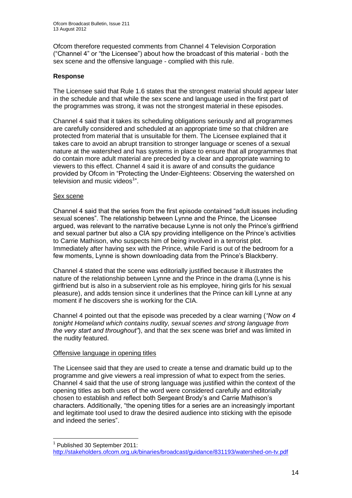Ofcom therefore requested comments from Channel 4 Television Corporation ("Channel 4" or "the Licensee") about how the broadcast of this material - both the sex scene and the offensive language - complied with this rule.

#### **Response**

The Licensee said that Rule 1.6 states that the strongest material should appear later in the schedule and that while the sex scene and language used in the first part of the programmes was strong, it was not the strongest material in these episodes.

Channel 4 said that it takes its scheduling obligations seriously and all programmes are carefully considered and scheduled at an appropriate time so that children are protected from material that is unsuitable for them. The Licensee explained that it takes care to avoid an abrupt transition to stronger language or scenes of a sexual nature at the watershed and has systems in place to ensure that all programmes that do contain more adult material are preceded by a clear and appropriate warning to viewers to this effect. Channel 4 said it is aware of and consults the guidance provided by Ofcom in "Protecting the Under-Eighteens: Observing the watershed on television and music videos<sup>1</sup>".

#### Sex scene

1

Channel 4 said that the series from the first episode contained "adult issues including sexual scenes". The relationship between Lynne and the Prince, the Licensee argued, was relevant to the narrative because Lynne is not only the Prince's girlfriend and sexual partner but also a CIA spy providing intelligence on the Prince's activities to Carrie Mathison, who suspects him of being involved in a terrorist plot. Immediately after having sex with the Prince, while Farid is out of the bedroom for a few moments, Lynne is shown downloading data from the Prince's Blackberry.

Channel 4 stated that the scene was editorially justified because it illustrates the nature of the relationship between Lynne and the Prince in the drama (Lynne is his girlfriend but is also in a subservient role as his employee, hiring girls for his sexual pleasure), and adds tension since it underlines that the Prince can kill Lynne at any moment if he discovers she is working for the CIA.

Channel 4 pointed out that the episode was preceded by a clear warning (*"Now on 4 tonight Homeland which contains nudity, sexual scenes and strong language from the very start and throughout"*), and that the sex scene was brief and was limited in the nudity featured.

#### Offensive language in opening titles

The Licensee said that they are used to create a tense and dramatic build up to the programme and give viewers a real impression of what to expect from the series. Channel 4 said that the use of strong language was justified within the context of the opening titles as both uses of the word were considered carefully and editorially chosen to establish and reflect both Sergeant Brody's and Carrie Mathison's characters. Additionally, "the opening titles for a series are an increasingly important and legitimate tool used to draw the desired audience into sticking with the episode and indeed the series".

<sup>1</sup> Published 30 September 2011: <http://stakeholders.ofcom.org.uk/binaries/broadcast/guidance/831193/watershed-on-tv.pdf>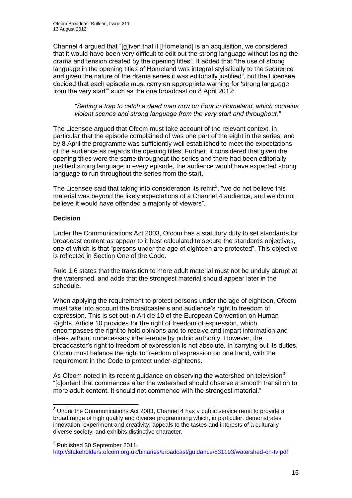Channel 4 argued that "[g]iven that it [Homeland] is an acquisition, we considered that it would have been very difficult to edit out the strong language without losing the drama and tension created by the opening titles". It added that "the use of strong language in the opening titles of Homeland was integral stylistically to the sequence and given the nature of the drama series it was editorially justified", but the Licensee decided that each episode must carry an appropriate warning for 'strong language from the very start'" such as the one broadcast on 8 April 2012:

*"Setting a trap to catch a dead man now on Four in Homeland, which contains violent scenes and strong language from the very start and throughout."*

The Licensee argued that Ofcom must take account of the relevant context, in particular that the episode complained of was one part of the eight in the series, and by 8 April the programme was sufficiently well established to meet the expectations of the audience as regards the opening titles. Further, it considered that given the opening titles were the same throughout the series and there had been editorially justified strong language in every episode, the audience would have expected strong language to run throughout the series from the start.

The Licensee said that taking into consideration its remit<sup>2</sup>, "we do not believe this material was beyond the likely expectations of a Channel 4 audience, and we do not believe it would have offended a majority of viewers".

#### **Decision**

Under the Communications Act 2003, Ofcom has a statutory duty to set standards for broadcast content as appear to it best calculated to secure the standards objectives, one of which is that "persons under the age of eighteen are protected". This objective is reflected in Section One of the Code.

Rule 1.6 states that the transition to more adult material must not be unduly abrupt at the watershed, and adds that the strongest material should appear later in the schedule.

When applying the requirement to protect persons under the age of eighteen, Ofcom must take into account the broadcaster's and audience's right to freedom of expression. This is set out in Article 10 of the European Convention on Human Rights. Article 10 provides for the right of freedom of expression, which encompasses the right to hold opinions and to receive and impart information and ideas without unnecessary interference by public authority. However, the broadcaster's right to freedom of expression is not absolute. In carrying out its duties, Ofcom must balance the right to freedom of expression on one hand, with the requirement in the Code to protect under-eighteens.

As Ofcom noted in its recent guidance on observing the watershed on television<sup>3</sup>, "[c]ontent that commences after the watershed should observe a smooth transition to more adult content. It should not commence with the strongest material."

<sup>1</sup>  $2$  Under the Communications Act 2003, Channel 4 has a public service remit to provide a broad range of high quality and diverse programming which, in particular: demonstrates innovation, experiment and creativity; appeals to the tastes and interests of a culturally diverse society; and exhibits distinctive character.

<sup>&</sup>lt;sup>3</sup> Published 30 September 2011: <http://stakeholders.ofcom.org.uk/binaries/broadcast/guidance/831193/watershed-on-tv.pdf>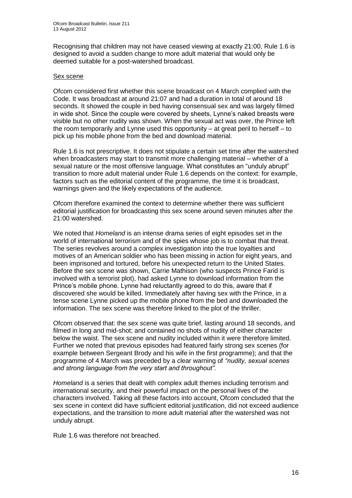Recognising that children may not have ceased viewing at exactly 21:00, Rule 1.6 is designed to avoid a sudden change to more adult material that would only be deemed suitable for a post-watershed broadcast.

#### Sex scene

Ofcom considered first whether this scene broadcast on 4 March complied with the Code. It was broadcast at around 21:07 and had a duration in total of around 18 seconds. It showed the couple in bed having consensual sex and was largely filmed in wide shot. Since the couple were covered by sheets, Lynne's naked breasts were visible but no other nudity was shown. When the sexual act was over, the Prince left the room temporarily and Lynne used this opportunity – at great peril to herself – to pick up his mobile phone from the bed and download material.

Rule 1.6 is not prescriptive. It does not stipulate a certain set time after the watershed when broadcasters may start to transmit more challenging material – whether of a sexual nature or the most offensive language. What constitutes an "unduly abrupt" transition to more adult material under Rule 1.6 depends on the context: for example, factors such as the editorial content of the programme, the time it is broadcast, warnings given and the likely expectations of the audience.

Ofcom therefore examined the context to determine whether there was sufficient editorial justification for broadcasting this sex scene around seven minutes after the 21:00 watershed.

We noted that *Homeland* is an intense drama series of eight episodes set in the world of international terrorism and of the spies whose job is to combat that threat. The series revolves around a complex investigation into the true loyalties and motives of an American soldier who has been missing in action for eight years, and been imprisoned and tortured, before his unexpected return to the United States. Before the sex scene was shown, Carrie Mathison (who suspects Prince Farid is involved with a terrorist plot), had asked Lynne to download information from the Prince's mobile phone. Lynne had reluctantly agreed to do this, aware that if discovered she would be killed. Immediately after having sex with the Prince, in a tense scene Lynne picked up the mobile phone from the bed and downloaded the information. The sex scene was therefore linked to the plot of the thriller.

Ofcom observed that: the sex scene was quite brief, lasting around 18 seconds, and filmed in long and mid-shot; and contained no shots of nudity of either character below the waist. The sex scene and nudity included within it were therefore limited. Further we noted that previous episodes had featured fairly strong sex scenes (for example between Sergeant Brody and his wife in the first programme); and that the programme of 4 March was preceded by a clear warning of *"nudity, sexual scenes and strong language from the very start and throughout".* 

*Homeland* is a series that dealt with complex adult themes including terrorism and international security, and their powerful impact on the personal lives of the characters involved. Taking all these factors into account, Ofcom concluded that the sex scene in context did have sufficient editorial justification, did not exceed audience expectations, and the transition to more adult material after the watershed was not unduly abrupt.

Rule 1.6 was therefore not breached.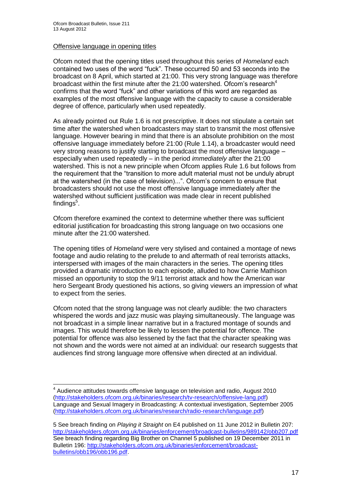1

#### Offensive language in opening titles

Ofcom noted that the opening titles used throughout this series of *Homeland* each contained two uses of the word "fuck". These occurred 50 and 53 seconds into the broadcast on 8 April, which started at 21:00. This very strong language was therefore broadcast within the first minute after the 21:00 watershed. Ofcom's research<sup>4</sup> confirms that the word "fuck" and other variations of this word are regarded as examples of the most offensive language with the capacity to cause a considerable degree of offence, particularly when used repeatedly.

As already pointed out Rule 1.6 is not prescriptive. It does not stipulate a certain set time after the watershed when broadcasters may start to transmit the most offensive language. However bearing in mind that there is an absolute prohibition on the most offensive language immediately before 21:00 (Rule 1.14), a broadcaster would need very strong reasons to justify starting to broadcast the most offensive language – especially when used repeatedly – in the period *immediately* after the 21:00 watershed. This is not a new principle when Ofcom applies Rule 1.6 but follows from the requirement that the "transition to more adult material must not be unduly abrupt at the watershed (in the case of television)...". Ofcom's concern to ensure that broadcasters should not use the most offensive language immediately after the watershed without sufficient justification was made clear in recent published findings<sup>5</sup>.

Ofcom therefore examined the context to determine whether there was sufficient editorial justification for broadcasting this strong language on two occasions one minute after the 21:00 watershed.

The opening titles of *Homeland* were very stylised and contained a montage of news footage and audio relating to the prelude to and aftermath of real terrorists attacks, interspersed with images of the main characters in the series. The opening titles provided a dramatic introduction to each episode, alluded to how Carrie Mathison missed an opportunity to stop the 9/11 terrorist attack and how the American war hero Sergeant Brody questioned his actions, so giving viewers an impression of what to expect from the series.

Ofcom noted that the strong language was not clearly audible: the two characters whispered the words and jazz music was playing simultaneously. The language was not broadcast in a simple linear narrative but in a fractured montage of sounds and images. This would therefore be likely to lessen the potential for offence. The potential for offence was also lessened by the fact that the character speaking was not shown and the words were not aimed at an individual: our research suggests that audiences find strong language more offensive when directed at an individual.

<sup>&</sup>lt;sup>4</sup> Audience attitudes towards offensive language on television and radio, August 2010 [\(http://stakeholders.ofcom.org.uk/binaries/research/tv-research/offensive-lang.pdf\)](http://stakeholders.ofcom.org.uk/binaries/research/tv-research/offensive-lang.pdf) Language and Sexual Imagery in Broadcasting: A contextual investigation, September 2005 [\(http://stakeholders.ofcom.org.uk/binaries/research/radio-research/language.pdf\)](http://stakeholders.ofcom.org.uk/binaries/research/radio-research/language.pdf)

<sup>5</sup> See breach finding on *Playing it Straight* on E4 published on 11 June 2012 in Bulletin 207: <http://stakeholders.ofcom.org.uk/binaries/enforcement/broadcast-bulletins/989142/obb207.pdf> See breach finding regarding Big Brother on Channel 5 published on 19 December 2011 in Bulletin 196: [http://stakeholders.ofcom.org.uk/binaries/enforcement/broadcast](http://stakeholders.ofcom.org.uk/binaries/enforcement/broadcast-bulletins/obb196/obb196.pdf)[bulletins/obb196/obb196.pdf.](http://stakeholders.ofcom.org.uk/binaries/enforcement/broadcast-bulletins/obb196/obb196.pdf)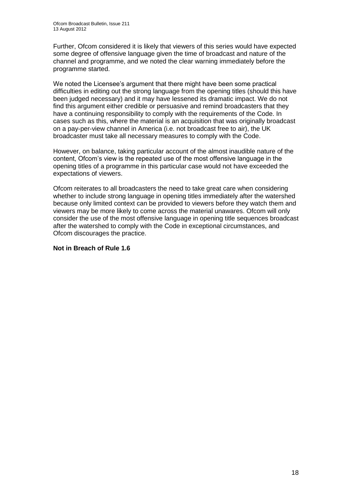Further, Ofcom considered it is likely that viewers of this series would have expected some degree of offensive language given the time of broadcast and nature of the channel and programme, and we noted the clear warning immediately before the programme started.

We noted the Licensee's argument that there might have been some practical difficulties in editing out the strong language from the opening titles (should this have been judged necessary) and it may have lessened its dramatic impact. We do not find this argument either credible or persuasive and remind broadcasters that they have a continuing responsibility to comply with the requirements of the Code. In cases such as this, where the material is an acquisition that was originally broadcast on a pay-per-view channel in America (i.e. not broadcast free to air), the UK broadcaster must take all necessary measures to comply with the Code.

However, on balance, taking particular account of the almost inaudible nature of the content, Ofcom's view is the repeated use of the most offensive language in the opening titles of a programme in this particular case would not have exceeded the expectations of viewers.

Ofcom reiterates to all broadcasters the need to take great care when considering whether to include strong language in opening titles immediately after the watershed because only limited context can be provided to viewers before they watch them and viewers may be more likely to come across the material unawares. Ofcom will only consider the use of the most offensive language in opening title sequences broadcast after the watershed to comply with the Code in exceptional circumstances, and Ofcom discourages the practice.

#### **Not in Breach of Rule 1.6**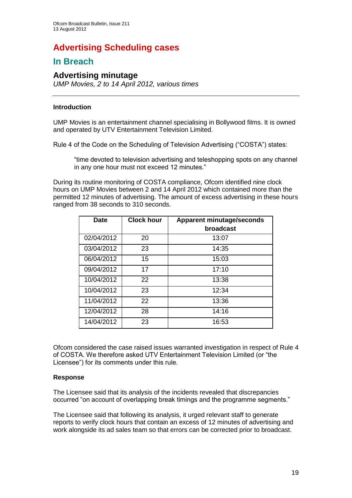# **Advertising Scheduling cases**

## **In Breach**

## **Advertising minutage**

*UMP Movies, 2 to 14 April 2012, various times*

#### **Introduction**

UMP Movies is an entertainment channel specialising in Bollywood films. It is owned and operated by UTV Entertainment Television Limited.

Rule 4 of the Code on the Scheduling of Television Advertising ("COSTA") states:

"time devoted to television advertising and teleshopping spots on any channel in any one hour must not exceed 12 minutes."

During its routine monitoring of COSTA compliance, Ofcom identified nine clock hours on UMP Movies between 2 and 14 April 2012 which contained more than the permitted 12 minutes of advertising. The amount of excess advertising in these hours ranged from 38 seconds to 310 seconds.

| <b>Date</b> | <b>Clock hour</b> | <b>Apparent minutage/seconds</b> |
|-------------|-------------------|----------------------------------|
|             |                   | broadcast                        |
| 02/04/2012  | 20                | 13:07                            |
| 03/04/2012  | 23                | 14:35                            |
| 06/04/2012  | 15                | 15:03                            |
| 09/04/2012  | 17                | 17:10                            |
| 10/04/2012  | 22                | 13:38                            |
| 10/04/2012  | 23                | 12:34                            |
| 11/04/2012  | 22                | 13:36                            |
| 12/04/2012  | 28                | 14:16                            |
| 14/04/2012  | 23                | 16:53                            |

Ofcom considered the case raised issues warranted investigation in respect of Rule 4 of COSTA. We therefore asked UTV Entertainment Television Limited (or "the Licensee") for its comments under this rule.

#### **Response**

The Licensee said that its analysis of the incidents revealed that discrepancies occurred "on account of overlapping break timings and the programme segments."

The Licensee said that following its analysis, it urged relevant staff to generate reports to verify clock hours that contain an excess of 12 minutes of advertising and work alongside its ad sales team so that errors can be corrected prior to broadcast.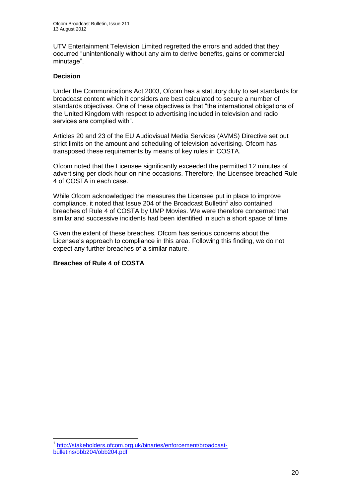UTV Entertainment Television Limited regretted the errors and added that they occurred "unintentionally without any aim to derive benefits, gains or commercial minutage".

#### **Decision**

Under the Communications Act 2003, Ofcom has a statutory duty to set standards for broadcast content which it considers are best calculated to secure a number of standards objectives. One of these objectives is that "the international obligations of the United Kingdom with respect to advertising included in television and radio services are complied with".

Articles 20 and 23 of the EU Audiovisual Media Services (AVMS) Directive set out strict limits on the amount and scheduling of television advertising. Ofcom has transposed these requirements by means of key rules in COSTA.

Ofcom noted that the Licensee significantly exceeded the permitted 12 minutes of advertising per clock hour on nine occasions. Therefore, the Licensee breached Rule 4 of COSTA in each case.

While Ofcom acknowledged the measures the Licensee put in place to improve compliance, it noted that Issue 204 of the Broadcast Bulletin $1$  also contained breaches of Rule 4 of COSTA by UMP Movies. We were therefore concerned that similar and successive incidents had been identified in such a short space of time.

Given the extent of these breaches, Ofcom has serious concerns about the Licensee's approach to compliance in this area. Following this finding, we do not expect any further breaches of a similar nature.

#### **Breaches of Rule 4 of COSTA**

1

<sup>1</sup> [http://stakeholders.ofcom.org.uk/binaries/enforcement/broadcast](http://stakeholders.ofcom.org.uk/binaries/enforcement/broadcast-bulletins/obb204/obb204.pdf)[bulletins/obb204/obb204.pdf](http://stakeholders.ofcom.org.uk/binaries/enforcement/broadcast-bulletins/obb204/obb204.pdf)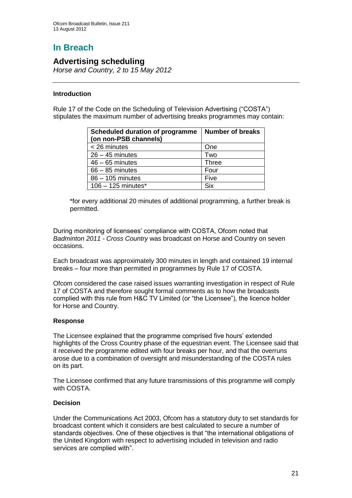# **In Breach**

## **Advertising scheduling**

*Horse and Country, 2 to 15 May 2012*

#### **Introduction**

Rule 17 of the Code on the Scheduling of Television Advertising ("COSTA") stipulates the maximum number of advertising breaks programmes may contain:

| Scheduled duration of programme<br>(on non-PSB channels) | <b>Number of breaks</b> |
|----------------------------------------------------------|-------------------------|
| < 26 minutes                                             | One                     |
| $26 - 45$ minutes                                        | Two                     |
| $46 - 65$ minutes                                        | <b>Three</b>            |
| $66 - 85$ minutes                                        | Four                    |
| 86 - 105 minutes                                         | Five                    |
| $106 - 125$ minutes*                                     | Six                     |

\*for every additional 20 minutes of additional programming, a further break is permitted.

During monitoring of licensees' compliance with COSTA, Ofcom noted that *Badminton 2011 - Cross Country* was broadcast on Horse and Country on seven occasions.

Each broadcast was approximately 300 minutes in length and contained 19 internal breaks – four more than permitted in programmes by Rule 17 of COSTA.

Ofcom considered the case raised issues warranting investigation in respect of Rule 17 of COSTA and therefore sought formal comments as to how the broadcasts complied with this rule from H&C TV Limited (or "the Licensee"), the licence holder for Horse and Country.

#### **Response**

The Licensee explained that the programme comprised five hours' extended highlights of the Cross Country phase of the equestrian event. The Licensee said that it received the programme edited with four breaks per hour, and that the overruns arose due to a combination of oversight and misunderstanding of the COSTA rules on its part.

The Licensee confirmed that any future transmissions of this programme will comply with COSTA.

#### **Decision**

Under the Communications Act 2003, Ofcom has a statutory duty to set standards for broadcast content which it considers are best calculated to secure a number of standards objectives. One of these objectives is that "the international obligations of the United Kingdom with respect to advertising included in television and radio services are complied with".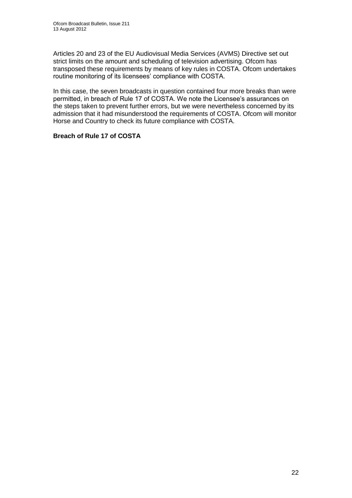Articles 20 and 23 of the EU Audiovisual Media Services (AVMS) Directive set out strict limits on the amount and scheduling of television advertising. Ofcom has transposed these requirements by means of key rules in COSTA. Ofcom undertakes routine monitoring of its licensees' compliance with COSTA.

In this case, the seven broadcasts in question contained four more breaks than were permitted, in breach of Rule 17 of COSTA. We note the Licensee's assurances on the steps taken to prevent further errors, but we were nevertheless concerned by its admission that it had misunderstood the requirements of COSTA. Ofcom will monitor Horse and Country to check its future compliance with COSTA.

#### **Breach of Rule 17 of COSTA**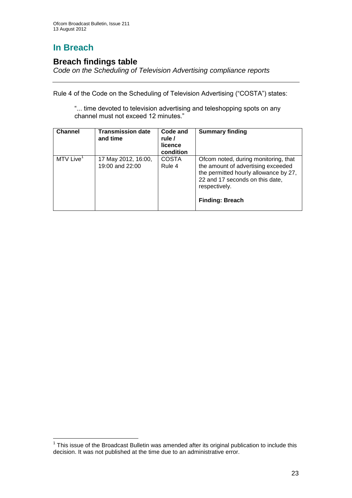# **In Breach**

1

## **Breach findings table**

*Code on the Scheduling of Television Advertising compliance reports*

Rule 4 of the Code on the Scheduling of Television Advertising ("COSTA") states:

"... time devoted to television advertising and teleshopping spots on any channel must not exceed 12 minutes."

| <b>Channel</b>        | <b>Transmission date</b><br>and time   | Code and<br>rule /<br>licence<br>condition | <b>Summary finding</b>                                                                                                                                                                            |
|-----------------------|----------------------------------------|--------------------------------------------|---------------------------------------------------------------------------------------------------------------------------------------------------------------------------------------------------|
| MTV Live <sup>1</sup> | 17 May 2012, 16:00,<br>19:00 and 22:00 | <b>COSTA</b><br>Rule 4                     | Ofcom noted, during monitoring, that<br>the amount of advertising exceeded<br>the permitted hourly allowance by 27,<br>22 and 17 seconds on this date,<br>respectively.<br><b>Finding: Breach</b> |

<sup>&</sup>lt;sup>1</sup> This issue of the Broadcast Bulletin was amended after its original publication to include this decision. It was not published at the time due to an administrative error.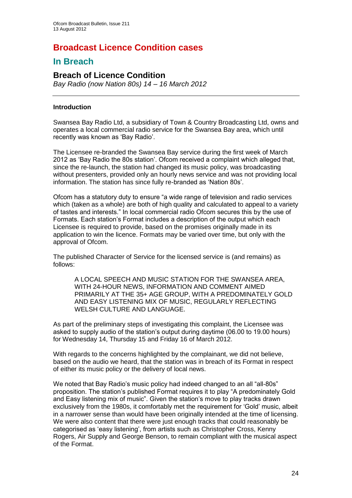## **Broadcast Licence Condition cases**

## **In Breach**

## **Breach of Licence Condition**

*Bay Radio (now Nation 80s) 14 – 16 March 2012*

#### **Introduction**

Swansea Bay Radio Ltd, a subsidiary of Town & Country Broadcasting Ltd, owns and operates a local commercial radio service for the Swansea Bay area, which until recently was known as 'Bay Radio'.

The Licensee re-branded the Swansea Bay service during the first week of March 2012 as 'Bay Radio the 80s station'. Ofcom received a complaint which alleged that, since the re-launch, the station had changed its music policy, was broadcasting without presenters, provided only an hourly news service and was not providing local information. The station has since fully re-branded as 'Nation 80s'.

Ofcom has a statutory duty to ensure "a wide range of television and radio services which (taken as a whole) are both of high quality and calculated to appeal to a variety of tastes and interests." In local commercial radio Ofcom secures this by the use of Formats. Each station's Format includes a description of the output which each Licensee is required to provide, based on the promises originally made in its application to win the licence. Formats may be varied over time, but only with the approval of Ofcom.

The published Character of Service for the licensed service is (and remains) as follows:

A LOCAL SPEECH AND MUSIC STATION FOR THE SWANSEA AREA, WITH 24-HOUR NEWS, INFORMATION AND COMMENT AIMED PRIMARILY AT THE 35+ AGE GROUP, WITH A PREDOMINATELY GOLD AND EASY LISTENING MIX OF MUSIC, REGULARLY REFLECTING WELSH CULTURE AND LANGUAGE.

As part of the preliminary steps of investigating this complaint, the Licensee was asked to supply audio of the station's output during daytime (06.00 to 19.00 hours) for Wednesday 14, Thursday 15 and Friday 16 of March 2012.

With regards to the concerns highlighted by the complainant, we did not believe, based on the audio we heard, that the station was in breach of its Format in respect of either its music policy or the delivery of local news.

We noted that Bay Radio's music policy had indeed changed to an all "all-80s" proposition. The station's published Format requires it to play "A predominately Gold and Easy listening mix of music". Given the station's move to play tracks drawn exclusively from the 1980s, it comfortably met the requirement for 'Gold' music, albeit in a narrower sense than would have been originally intended at the time of licensing. We were also content that there were just enough tracks that could reasonably be categorised as 'easy listening', from artists such as Christopher Cross, Kenny Rogers, Air Supply and George Benson, to remain compliant with the musical aspect of the Format.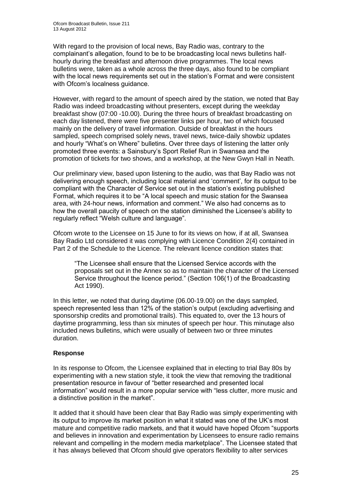With regard to the provision of local news, Bay Radio was, contrary to the complainant's allegation, found to be to be broadcasting local news bulletins halfhourly during the breakfast and afternoon drive programmes. The local news bulletins were, taken as a whole across the three days, also found to be compliant with the local news requirements set out in the station's Format and were consistent with Ofcom's localness guidance.

However, with regard to the amount of speech aired by the station, we noted that Bay Radio was indeed broadcasting without presenters, except during the weekday breakfast show (07:00 -10.00). During the three hours of breakfast broadcasting on each day listened, there were five presenter links per hour, two of which focused mainly on the delivery of travel information. Outside of breakfast in the hours sampled, speech comprised solely news, travel news, twice-daily showbiz updates and hourly "What's on Where" bulletins. Over three days of listening the latter only promoted three events: a Sainsbury's Sport Relief Run in Swansea and the promotion of tickets for two shows, and a workshop, at the New Gwyn Hall in Neath.

Our preliminary view, based upon listening to the audio, was that Bay Radio was not delivering enough speech, including local material and 'comment', for its output to be compliant with the Character of Service set out in the station's existing published Format, which requires it to be "A local speech and music station for the Swansea area, with 24-hour news, information and comment." We also had concerns as to how the overall paucity of speech on the station diminished the Licensee's ability to regularly reflect "Welsh culture and language".

Ofcom wrote to the Licensee on 15 June to for its views on how, if at all, Swansea Bay Radio Ltd considered it was complying with Licence Condition 2(4) contained in Part 2 of the Schedule to the Licence. The relevant licence condition states that:

"The Licensee shall ensure that the Licensed Service accords with the proposals set out in the Annex so as to maintain the character of the Licensed Service throughout the licence period." (Section 106(1) of the Broadcasting Act 1990).

In this letter, we noted that during daytime (06.00-19.00) on the days sampled, speech represented less than 12% of the station's output (excluding advertising and sponsorship credits and promotional trails). This equated to, over the 13 hours of daytime programming, less than six minutes of speech per hour. This minutage also included news bulletins, which were usually of between two or three minutes duration.

#### **Response**

In its response to Ofcom, the Licensee explained that in electing to trial Bay 80s by experimenting with a new station style, it took the view that removing the traditional presentation resource in favour of "better researched and presented local information" would result in a more popular service with "less clutter, more music and a distinctive position in the market".

It added that it should have been clear that Bay Radio was simply experimenting with its output to improve its market position in what it stated was one of the UK's most mature and competitive radio markets, and that it would have hoped Ofcom "supports and believes in innovation and experimentation by Licensees to ensure radio remains relevant and compelling in the modern media marketplace". The Licensee stated that it has always believed that Ofcom should give operators flexibility to alter services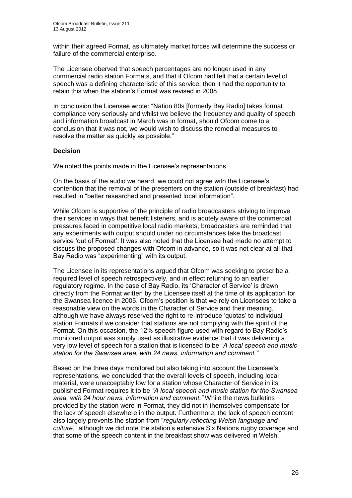within their agreed Format, as ultimately market forces will determine the success or failure of the commercial enterprise.

The Licensee oberved that speech percentages are no longer used in any commercial radio station Formats, and that if Ofcom had felt that a certain level of speech was a defining characteristic of this service, then it had the opportunity to retain this when the station's Format was revised in 2008.

In conclusion the Licensee wrote: "Nation 80s [formerly Bay Radio] takes format compliance very seriously and whilst we believe the frequency and quality of speech and information broadcast in March was in format, should Ofcom come to a conclusion that it was not, we would wish to discuss the remedial measures to resolve the matter as quickly as possible."

#### **Decision**

We noted the points made in the Licensee's representations.

On the basis of the audio we heard, we could not agree with the Licensee's contention that the removal of the presenters on the station (outside of breakfast) had resulted in "better researched and presented local information".

While Ofcom is supportive of the principle of radio broadcasters striving to improve their services in ways that benefit listeners, and is acutely aware of the commercial pressures faced in competitive local radio markets, broadcasters are reminded that any experiments with output should under no circumstances take the broadcast service 'out of Format'. It was also noted that the Licensee had made no attempt to discuss the proposed changes with Ofcom in advance, so it was not clear at all that Bay Radio was "experimenting" with its output.

The Licensee in its representations argued that Ofcom was seeking to prescribe a required level of speech retrospectively, and in effect returning to an earlier regulatory regime. In the case of Bay Radio, its 'Character of Service' is drawn directly from the Format written by the Licensee itself at the time of its application for the Swansea licence in 2005. Ofcom's position is that we rely on Licensees to take a reasonable view on the words in the Character of Service and their meaning, although we have always reserved the right to re-introduce 'quotas' to individual station Formats if we consider that stations are not complying with the spirit of the Format. On this occasion, the 12% speech figure used with regard to Bay Radio's monitored output was simply used as illustrative evidence that it was delivering a very low level of speech for a station that is licensed to be *"A local speech and music station for the Swansea area, with 24 news, information and comment."*

Based on the three days monitored but also taking into account the Licensee's representations, we concluded that the overall levels of speech, including local material, were unacceptably low for a station whose Character of Service in its published Format requires it to be *"A local speech and music station for the Swansea area, with 24 hour news, information and comment."* While the news bulletins provided by the station were in Format, they did not in themselves compensate for the lack of speech elsewhere in the output. Furthermore, the lack of speech content also largely prevents the station from "*regularly reflecting Welsh language and culture*," although we did note the station's extensive Six Nations rugby coverage and that some of the speech content in the breakfast show was delivered in Welsh.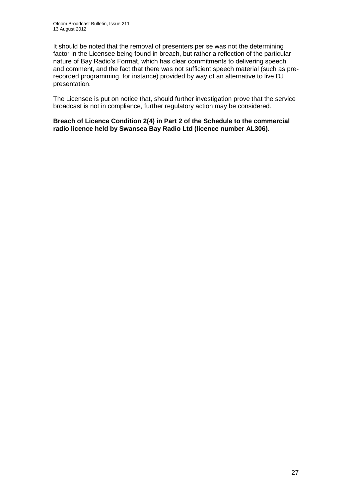It should be noted that the removal of presenters per se was not the determining factor in the Licensee being found in breach, but rather a reflection of the particular nature of Bay Radio's Format, which has clear commitments to delivering speech and comment, and the fact that there was not sufficient speech material (such as prerecorded programming, for instance) provided by way of an alternative to live DJ presentation.

The Licensee is put on notice that, should further investigation prove that the service broadcast is not in compliance, further regulatory action may be considered.

**Breach of Licence Condition 2(4) in Part 2 of the Schedule to the commercial radio licence held by Swansea Bay Radio Ltd (licence number AL306).**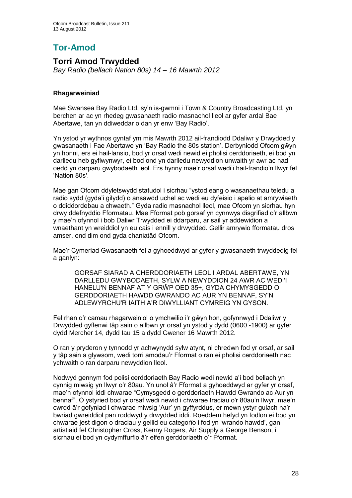# **Tor-Amod**

## **Torri Amod Trwydded**

*Bay Radio (bellach Nation 80s) 14 – 16 Mawrth 2012*

#### **Rhagarweiniad**

Mae Swansea Bay Radio Ltd, sy'n is-gwmni i Town & Country Broadcasting Ltd, yn berchen ar ac yn rhedeg gwasanaeth radio masnachol lleol ar gyfer ardal Bae Abertawe, tan yn ddiweddar o dan yr enw 'Bay Radio'.

Yn ystod yr wythnos gyntaf ym mis Mawrth 2012 ail-frandiodd Ddaliwr y Drwydded y gwasanaeth i Fae Abertawe yn 'Bay Radio the 80s station'. Derbyniodd Ofcom gŵyn yn honni, ers ei hail-lansio, bod yr orsaf wedi newid ei pholisi cerddoriaeth, ei bod yn darlledu heb gyflwynwyr, ei bod ond yn darlledu newyddion unwaith yr awr ac nad oedd yn darparu gwybodaeth leol. Ers hynny mae'r orsaf wedi'i hail-frandio'n llwyr fel 'Nation 80s'.

Mae gan Ofcom ddyletswydd statudol i sicrhau "ystod eang o wasanaethau teledu a radio sydd (gyda'i gilydd) o ansawdd uchel ac wedi eu dyfeisio i apelio at amrywiaeth o ddiddordebau a chwaeth." Gyda radio masnachol lleol, mae Ofcom yn sicrhau hyn drwy ddefnyddio Fformatau. Mae Fformat pob gorsaf yn cynnwys disgrifiad o'r allbwn y mae'n ofynnol i bob Daliwr Trwydded ei ddarparu, ar sail yr addewidion a wnaethant yn wreiddiol yn eu cais i ennill y drwydded. Gellir amrywio fformatau dros amser, ond dim ond gyda chaniatâd Ofcom.

Mae'r Cymeriad Gwasanaeth fel a gyhoeddwyd ar gyfer y gwasanaeth trwyddedig fel a ganlyn:

GORSAF SIARAD A CHERDDORIAETH LEOL I ARDAL ABERTAWE, YN DARLLEDU GWYBODAETH, SYLW A NEWYDDION 24 AWR AC WEDI'I HANELU'N BENNAF AT Y GRŴP OED 35+, GYDA CHYMYSGEDD O GERDDORIAETH HAWDD GWRANDO AC AUR YN BENNAF, SY'N ADLEWYRCHU'R IAITH A'R DIWYLLIANT CYMREIG YN GYSON.

Fel rhan o'r camau rhagarweiniol o ymchwilio i'r gŵyn hon, gofynnwyd i Ddaliwr y Drwydded gyflenwi tâp sain o allbwn yr orsaf yn ystod y dydd (0600 -1900) ar gyfer dydd Mercher 14, dydd Iau 15 a dydd Gwener 16 Mawrth 2012.

O ran y pryderon y tynnodd yr achwynydd sylw atynt, ni chredwn fod yr orsaf, ar sail y tâp sain a glywsom, wedi torri amodau'r Fformat o ran ei pholisi cerddoriaeth nac ychwaith o ran darparu newyddion lleol.

Nodwyd gennym fod polisi cerddoriaeth Bay Radio wedi newid a'i bod bellach yn cynnig miwsig yn llwyr o'r 80au. Yn unol â'r Fformat a gyhoeddwyd ar gyfer yr orsaf, mae'n ofynnol iddi chwarae "Cymysgedd o gerddoriaeth Hawdd Gwrando ac Aur yn bennaf". O ystyried bod yr orsaf wedi newid i chwarae traciau o'r 80au'n llwyr, mae'n cwrdd â'r gofyniad i chwarae miwsig 'Aur' yn gyffyrddus, er mewn ystyr gulach na'r bwriad gwreiddiol pan roddwyd y drwydded iddi. Roeddem hefyd yn fodlon ei bod yn chwarae jest digon o draciau y gellid eu categorïo i fod yn 'wrando hawdd', gan artistiaid fel Christopher Cross, Kenny Rogers, Air Supply a George Benson, i sicrhau ei bod yn cydymffurfio â'r elfen gerddoriaeth o'r Fformat.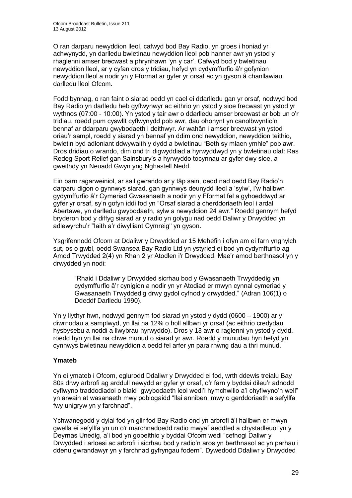O ran darparu newyddion lleol, cafwyd bod Bay Radio, yn groes i honiad yr achwynydd, yn darlledu bwletinau newyddion lleol pob hanner awr yn ystod y rhaglenni amser brecwast a phrynhawn 'yn y car'. Cafwyd bod y bwletinau newyddion lleol, ar y cyfan dros y tridiau, hefyd yn cydymffurfio â'r gofynion newyddion lleol a nodir yn y Fformat ar gyfer yr orsaf ac yn gyson â chanllawiau darlledu lleol Ofcom.

Fodd bynnag, o ran faint o siarad oedd yn cael ei ddarlledu gan yr orsaf, nodwyd bod Bay Radio yn darlledu heb gyflwynwyr ac eithrio yn ystod y sioe frecwast yn ystod yr wythnos (07:00 - 10:00). Yn ystod y tair awr o ddarlledu amser brecwast ar bob un o'r tridiau, roedd pum cyswllt cyflwynydd pob awr, dau ohonynt yn canolbwyntio'n bennaf ar ddarparu gwybodaeth i deithwyr. Ar wahân i amser brecwast yn ystod oriau'r sampl, roedd y siarad yn bennaf yn ddim ond newyddion, newyddion teithio, bwletin byd adloniant ddwywaith y dydd a bwletinau "Beth sy mlaen ymhle" pob awr. Dros dridiau o wrando, dim ond tri digwyddiad a hyrwyddwyd yn y bwletinau olaf: Ras Redeg Sport Relief gan Sainsbury's a hyrwyddo tocynnau ar gyfer dwy sioe, a gweithdy yn Neuadd Gwyn yng Nghastell Nedd.

Ein barn ragarweiniol, ar sail gwrando ar y tâp sain, oedd nad oedd Bay Radio'n darparu digon o gynnwys siarad, gan gynnwys deunydd lleol a 'sylw', i'w hallbwn gydymffurfio â'r Cymeriad Gwasanaeth a nodir yn y Fformat fel a gyhoeddwyd ar gyfer yr orsaf, sy'n gofyn iddi fod yn "Orsaf siarad a cherddoriaeth leol i ardal Abertawe, yn darlledu gwybodaeth, sylw a newyddion 24 awr." Roedd gennym hefyd bryderon bod y diffyg siarad ar y radio yn golygu nad oedd Daliwr y Drwydded yn adlewyrchu'r "Iaith a'r diwylliant Cymreig" yn gyson.

Ysgrifennodd Ofcom at Ddaliwr y Drwydded ar 15 Mehefin i ofyn am ei farn ynghylch sut, os o gwbl, oedd Swansea Bay Radio Ltd yn ystyried ei bod yn cydymffurfio ag Amod Trwydded 2(4) yn Rhan 2 yr Atodlen i'r Drwydded. Mae'r amod berthnasol yn y drwydded yn nodi:

"Rhaid i Ddaliwr y Drwydded sicrhau bod y Gwasanaeth Trwyddedig yn cydymffurfio â'r cynigion a nodir yn yr Atodiad er mwyn cynnal cymeriad y Gwasanaeth Trwyddedig drwy gydol cyfnod y drwydded." (Adran 106(1) o Ddeddf Darlledu 1990).

Yn y llythyr hwn, nodwyd gennym fod siarad yn ystod y dydd (0600 – 1900) ar y diwrnodau a samplwyd, yn llai na 12% o holl allbwn yr orsaf (ac eithrio credydau hysbysebu a noddi a llwybrau hyrwyddo). Dros y 13 awr o raglenni yn ystod y dydd, roedd hyn yn llai na chwe munud o siarad yr awr. Roedd y munudau hyn hefyd yn cynnwys bwletinau newyddion a oedd fel arfer yn para rhwng dau a thri munud.

#### **Ymateb**

Yn ei ymateb i Ofcom, eglurodd Ddaliwr y Drwydded ei fod, wrth ddewis treialu Bay 80s drwy arbrofi ag arddull newydd ar gyfer yr orsaf, o'r farn y byddai dileu'r adnodd cyflwyno traddodiadol o blaid "gwybodaeth leol wedi'i hymchwilio a'i chyflwyno'n well" yn arwain at wasanaeth mwy poblogaidd "llai anniben, mwy o gerddoriaeth a sefyllfa fwy unigryw yn y farchnad".

Ychwanegodd y dylai fod yn glir fod Bay Radio ond yn arbrofi â'i hallbwn er mwyn gwella ei sefyllfa yn un o'r marchnadoedd radio mwyaf aeddfed a chystadleuol yn y Deyrnas Unedig, a'i bod yn gobeithio y byddai Ofcom wedi "cefnogi Daliwr y Drwydded i arloesi ac arbrofi i sicrhau bod y radio'n aros yn berthnasol ac yn parhau i ddenu gwrandawyr yn y farchnad gyfryngau fodern". Dywedodd Ddaliwr y Drwydded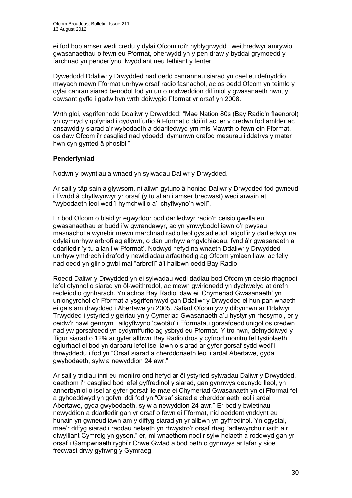ei fod bob amser wedi credu y dylai Ofcom roi'r hyblygrwydd i weithredwyr amrywio gwasanaethau o fewn eu Fformat, oherwydd yn y pen draw y byddai grymoedd y farchnad yn penderfynu llwyddiant neu fethiant y fenter.

Dywedodd Ddaliwr y Drwydded nad oedd canrannau siarad yn cael eu defnyddio mwyach mewn Fformat unrhyw orsaf radio fasnachol, ac os oedd Ofcom yn teimlo y dylai canran siarad benodol fod yn un o nodweddion diffiniol y gwasanaeth hwn, y cawsant gyfle i gadw hyn wrth ddiwygio Fformat yr orsaf yn 2008.

Wrth gloi, ysgrifennodd Ddaliwr y Drwydded: "Mae Nation 80s (Bay Radio'n flaenorol) yn cymryd y gofyniad i gydymffurfio â Fformat o ddifrif ac, er y credwn fod amlder ac ansawdd y siarad a'r wybodaeth a ddarlledwyd ym mis Mawrth o fewn ein Fformat, os daw Ofcom i'r casgliad nad ydoedd, dymunwn drafod mesurau i ddatrys y mater hwn cyn gynted â phosibl."

#### **Penderfyniad**

Nodwn y pwyntiau a wnaed yn sylwadau Daliwr y Drwydded.

Ar sail y tâp sain a glywsom, ni allwn gytuno â honiad Daliwr y Drwydded fod gwneud i ffwrdd â chyflwynwyr yr orsaf (y tu allan i amser brecwast) wedi arwain at "wybodaeth leol wedi'i hymchwilio a'i chyflwyno'n well".

Er bod Ofcom o blaid yr egwyddor bod darlledwyr radio'n ceisio gwella eu gwasanaethau er budd i'w gwrandawyr, ac yn ymwybodol iawn o'r pwysau masnachol a wynebir mewn marchnad radio leol gystadleuol, atgoffir y darlledwyr na ddylai unrhyw arbrofi ag allbwn, o dan unrhyw amgylchiadau, fynd â'r gwasanaeth a ddarlledir 'y tu allan i'w Fformat'. Nodwyd hefyd na wnaeth Ddaliwr y Drwydded unrhyw ymdrech i drafod y newidiadau arfaethedig ag Ofcom ymlaen llaw, ac felly nad oedd yn glir o gwbl mai "arbrofi" â'i hallbwn oedd Bay Radio.

Roedd Daliwr y Drwydded yn ei sylwadau wedi dadlau bod Ofcom yn ceisio rhagnodi lefel ofynnol o siarad yn ôl-weithredol, ac mewn gwirionedd yn dychwelyd at drefn reoleiddio gynharach. Yn achos Bay Radio, daw ei 'Chymeriad Gwasanaeth' yn uniongyrchol o'r Fformat a ysgrifennwyd gan Ddaliwr y Drwydded ei hun pan wnaeth ei gais am drwydded i Abertawe yn 2005. Safiad Ofcom yw y dibynnwn ar Ddalwyr Trwydded i ystyried y geiriau yn y Cymeriad Gwasanaeth a'u hystyr yn rhesymol, er y ceidw'r hawl gennym i ailgyflwyno 'cwotâu' i Fformatau gorsafoedd unigol os credwn nad yw gorsafoedd yn cydymffurfio ag ysbryd eu Fformat. Y tro hwn, defnyddiwyd y ffigur siarad o 12% ar gyfer allbwn Bay Radio dros y cyfnod monitro fel tystiolaeth eglurhaol ei bod yn darparu lefel isel iawn o siarad ar gyfer gorsaf sydd wedi'i thrwyddedu i fod yn "Orsaf siarad a cherddoriaeth leol i ardal Abertawe, gyda gwybodaeth, sylw a newyddion 24 awr."

Ar sail y tridiau inni eu monitro ond hefyd ar ôl ystyried sylwadau Daliwr y Drwydded, daethom i'r casgliad bod lefel gyffredinol y siarad, gan gynnwys deunydd lleol, yn annerbyniol o isel ar gyfer gorsaf lle mae ei Chymeriad Gwasanaeth yn ei Fformat fel a gyhoeddwyd yn gofyn iddi fod yn "Orsaf siarad a cherddoriaeth leol i ardal Abertawe, gyda gwybodaeth, sylw a newyddion 24 awr." Er bod y bwletinau newyddion a ddarlledir gan yr orsaf o fewn ei Fformat, nid oeddent ynddynt eu hunain yn gwneud iawn am y diffyg siarad yn yr allbwn yn gyffredinol. Yn ogystal, mae'r diffyg siarad i raddau helaeth yn rhwystro'r orsaf rhag "adlewyrchu'r iaith a'r diwylliant Cymreig yn gyson." er, mi wnaethom nodi'r sylw helaeth a roddwyd gan yr orsaf i Gampwriaeth rygbi'r Chwe Gwlad a bod peth o gynnwys ar lafar y sioe frecwast drwy gyfrwng y Gymraeg.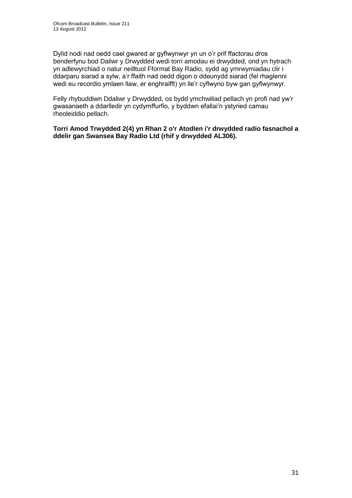Dylid nodi nad oedd cael gwared ar gyflwynwyr yn un o'r prif ffactorau dros benderfynu bod Daliwr y Drwydded wedi torri amodau ei drwydded, ond yn hytrach yn adlewyrchiad o natur neilltuol Fformat Bay Radio, sydd ag ymrwymiadau clir i ddarparu siarad a sylw, a'r ffaith nad oedd digon o ddeunydd siarad (fel rhaglenni wedi eu recordio ymlaen llaw, er enghraifft) yn lle'r cyflwyno byw gan gyflwynwyr.

Felly rhybuddiwn Ddaliwr y Drwydded, os bydd ymchwiliad pellach yn profi nad yw'r gwasanaeth a ddarlledir yn cydymffurfio, y byddwn efallai'n ystyried camau rheoleiddio pellach.

**Torri Amod Trwydded 2(4) yn Rhan 2 o'r Atodlen i'r drwydded radio fasnachol a ddelir gan Swansea Bay Radio Ltd (rhif y drwydded AL306).**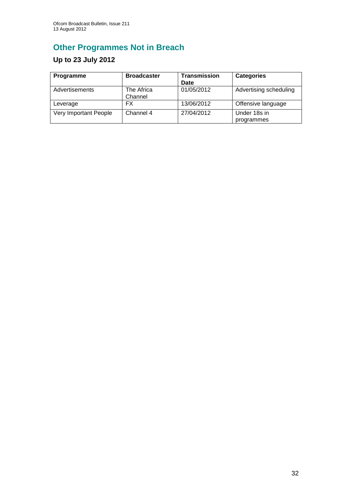# **Other Programmes Not in Breach**

## **Up to 23 July 2012**

| Programme             | <b>Broadcaster</b>    | <b>Transmission</b><br>Date | <b>Categories</b>          |
|-----------------------|-----------------------|-----------------------------|----------------------------|
| Advertisements        | The Africa<br>Channel | 01/05/2012                  | Advertising scheduling     |
| Leverage              | <b>FX</b>             | 13/06/2012                  | Offensive language         |
| Very Important People | Channel 4             | 27/04/2012                  | Under 18s in<br>programmes |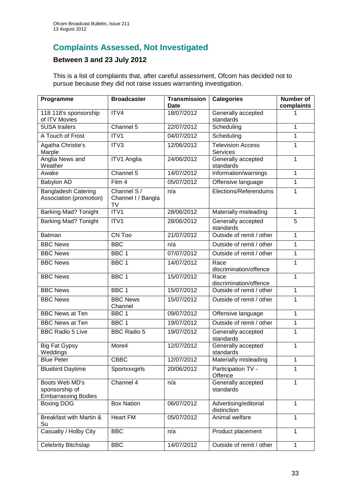# **Complaints Assessed, Not Investigated**

## **Between 3 and 23 July 2012**

This is a list of complaints that, after careful assessment, Ofcom has decided not to pursue because they did not raise issues warranting investigation.

| Programme                                                      | <b>Broadcaster</b>                     | <b>Transmission</b><br>Date | <b>Categories</b>                           | <b>Number of</b><br>complaints |
|----------------------------------------------------------------|----------------------------------------|-----------------------------|---------------------------------------------|--------------------------------|
| 118 118's sponsorship<br>of ITV Movies                         | ITV4                                   | 18/07/2012                  | Generally accepted<br>standards             |                                |
| <b>5USA</b> trailers                                           | Channel 5                              | 22/07/2012                  | Scheduling                                  | 1                              |
| A Touch of Frost                                               | ITV1                                   | 04/07/2012                  | Scheduling                                  | 1                              |
| Agatha Christie's<br>Marple                                    | ITV3                                   | 12/06/2012                  | <b>Television Access</b><br><b>Services</b> | 1                              |
| Anglia News and<br>Weather                                     | <b>ITV1 Anglia</b>                     | 24/06/2012                  | Generally accepted<br>standards             | 1                              |
| Awake                                                          | Channel 5                              | 14/07/2012                  | Information/warnings                        | $\mathbf{1}$                   |
| Babylon AD                                                     | Film 4                                 | 05/07/2012                  | Offensive language                          | 1                              |
| <b>Bangladesh Catering</b><br>Association (promotion)          | Channel S/<br>Channel I / Bangla<br>TV | n/a                         | Elections/Referendums                       | 1                              |
| <b>Barking Mad? Tonight</b>                                    | ITV1                                   | 28/06/2012                  | Materially misleading                       | 1                              |
| <b>Barking Mad? Tonight</b>                                    | ITV1                                   | 28/06/2012                  | Generally accepted<br>standards             | 5                              |
| Batman                                                         | CN Too                                 | 21/07/2012                  | Outside of remit / other                    | 1                              |
| <b>BBC News</b>                                                | <b>BBC</b>                             | n/a                         | Outside of remit / other                    | 1                              |
| <b>BBC News</b>                                                | BBC <sub>1</sub>                       | 07/07/2012                  | Outside of remit / other                    | 1                              |
| <b>BBC News</b>                                                | BBC <sub>1</sub>                       | 14/07/2012                  | Race<br>discrimination/offence              | 1                              |
| <b>BBC News</b>                                                | BBC <sub>1</sub>                       | 15/07/2012                  | Race<br>discrimination/offence              | 1                              |
| <b>BBC News</b>                                                | BBC <sub>1</sub>                       | 15/07/2012                  | Outside of remit / other                    | $\mathbf{1}$                   |
| <b>BBC News</b>                                                | <b>BBC News</b><br>Channel             | 15/07/2012                  | Outside of remit / other                    | 1                              |
| <b>BBC News at Ten</b>                                         | BBC <sub>1</sub>                       | 09/07/2012                  | Offensive language                          | 1                              |
| <b>BBC News at Ten</b>                                         | BBC <sub>1</sub>                       | 19/07/2012                  | Outside of remit / other                    | 1                              |
| <b>BBC Radio 5 Live</b>                                        | <b>BBC Radio 5</b>                     | 19/07/2012                  | Generally accepted<br>standards             | 1                              |
| <b>Big Fat Gypsy</b><br>Weddings                               | More4                                  | 12/07/2012                  | Generally accepted<br>standards             | 1                              |
| <b>Blue Peter</b>                                              | <b>CBBC</b>                            | 12/07/2012                  | Materially misleading                       | 1                              |
| <b>Bluebird Daytime</b>                                        | Sportxxxgirls                          | 20/06/2012                  | Participation TV -<br>Offence               | 1                              |
| Boots Web MD's<br>sponsorship of<br><b>Embarrassing Bodies</b> | Channel 4                              | n/a                         | Generally accepted<br>standards             | 1                              |
| <b>Boxing DOG</b>                                              | <b>Box Nation</b>                      | 06/07/2012                  | Advertising/editorial<br>distinction        | 1                              |
| Breakfast with Martin &<br>Su                                  | <b>Heart FM</b>                        | 05/07/2012                  | Animal welfare                              | $\mathbf{1}$                   |
| Casualty / Holby City                                          | <b>BBC</b>                             | n/a                         | Product placement                           | 1                              |
| <b>Celebrity Bitchslap</b>                                     | <b>BBC</b>                             | 14/07/2012                  | Outside of remit / other                    | 1                              |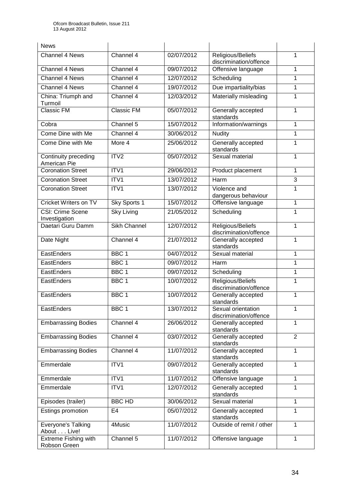| <b>News</b>                                 |                     |            |                                              |                |
|---------------------------------------------|---------------------|------------|----------------------------------------------|----------------|
| Channel 4 News                              | Channel 4           | 02/07/2012 | Religious/Beliefs<br>discrimination/offence  | 1              |
| Channel 4 News                              | Channel 4           | 09/07/2012 | Offensive language                           | 1              |
| Channel 4 News                              | Channel 4           | 12/07/2012 | Scheduling                                   | 1              |
| <b>Channel 4 News</b>                       | Channel 4           | 19/07/2012 | Due impartiality/bias                        | 1              |
| China: Triumph and<br>Turmoil               | Channel 4           | 12/03/2012 | Materially misleading                        | 1              |
| <b>Classic FM</b>                           | <b>Classic FM</b>   | 05/07/2012 | Generally accepted<br>standards              | 1              |
| Cobra                                       | Channel 5           | 15/07/2012 | Information/warnings                         | 1              |
| Come Dine with Me                           | Channel 4           | 30/06/2012 | <b>Nudity</b>                                | 1              |
| Come Dine with Me                           | More 4              | 25/06/2012 | Generally accepted<br>standards              | 1              |
| Continuity preceding<br>American Pie        | ITV <sub>2</sub>    | 05/07/2012 | Sexual material                              | 1              |
| <b>Coronation Street</b>                    | ITV1                | 29/06/2012 | Product placement                            | $\mathbf{1}$   |
| <b>Coronation Street</b>                    | ITV <sub>1</sub>    | 13/07/2012 | Harm                                         | 3              |
| <b>Coronation Street</b>                    | ITV1                | 13/07/2012 | Violence and<br>dangerous behaviour          | 1              |
| Cricket Writers on TV                       | Sky Sports 1        | 15/07/2012 | Offensive language                           | 1              |
| <b>CSI: Crime Scene</b><br>Investigation    | <b>Sky Living</b>   | 21/05/2012 | Scheduling                                   | 1              |
| Daetari Guru Damm                           | <b>Sikh Channel</b> | 12/07/2012 | Religious/Beliefs<br>discrimination/offence  | $\mathbf{1}$   |
| Date Night                                  | Channel 4           | 21/07/2012 | Generally accepted<br>standards              | $\mathbf{1}$   |
| EastEnders                                  | BBC <sub>1</sub>    | 04/07/2012 | Sexual material                              | 1              |
| EastEnders                                  | BBC <sub>1</sub>    | 09/07/2012 | Harm                                         | 1              |
| EastEnders                                  | BBC <sub>1</sub>    | 09/07/2012 | Scheduling                                   | $\mathbf{1}$   |
| EastEnders                                  | BBC <sub>1</sub>    | 10/07/2012 | Religious/Beliefs<br>discrimination/offence  | 1              |
| EastEnders                                  | BBC <sub>1</sub>    | 10/07/2012 | Generally accepted<br>standards              | $\mathbf{1}$   |
| EastEnders                                  | BBC <sub>1</sub>    | 13/07/2012 | Sexual orientation<br>discrimination/offence | 1              |
| <b>Embarrassing Bodies</b>                  | Channel 4           | 26/06/2012 | Generally accepted<br>standards              | 1              |
| <b>Embarrassing Bodies</b>                  | Channel 4           | 03/07/2012 | Generally accepted<br>standards              | $\overline{2}$ |
| <b>Embarrassing Bodies</b>                  | Channel 4           | 11/07/2012 | Generally accepted<br>standards              | $\mathbf{1}$   |
| Emmerdale                                   | ITV1                | 09/07/2012 | Generally accepted<br>standards              | $\mathbf{1}$   |
| Emmerdale                                   | ITV1                | 11/07/2012 | Offensive language                           | $\mathbf{1}$   |
| Emmerdale                                   | ITV1                | 12/07/2012 | Generally accepted<br>standards              | 1              |
| Episodes (trailer)                          | <b>BBC HD</b>       | 30/06/2012 | Sexual material                              | $\mathbf{1}$   |
| Estings promotion                           | E <sub>4</sub>      | 05/07/2012 | Generally accepted<br>standards              | 1              |
| Everyone's Talking<br>About Live!           | 4Music              | 11/07/2012 | Outside of remit / other                     | $\mathbf{1}$   |
| <b>Extreme Fishing with</b><br>Robson Green | Channel 5           | 11/07/2012 | Offensive language                           | 1              |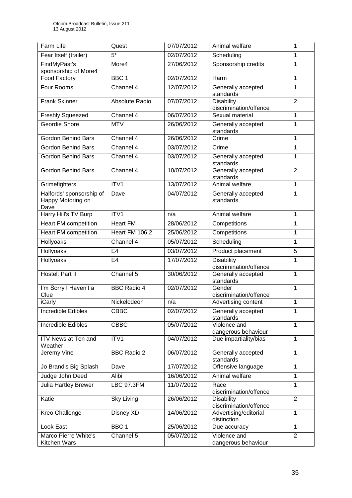| Farm Life                                             | Quest              | 07/07/2012 | Animal welfare                              | 1              |
|-------------------------------------------------------|--------------------|------------|---------------------------------------------|----------------|
| Fear Itself (trailer)                                 | $\overline{5^*}$   | 02/07/2012 | Scheduling                                  | 1              |
| FindMyPast's<br>sponsorship of More4                  | More4              | 27/06/2012 | Sponsorship credits                         | $\mathbf{1}$   |
| <b>Food Factory</b>                                   | BBC <sub>1</sub>   | 02/07/2012 | Harm                                        | 1              |
| Four Rooms                                            | Channel 4          | 12/07/2012 | Generally accepted<br>standards             | $\mathbf{1}$   |
| <b>Frank Skinner</b>                                  | Absolute Radio     | 07/07/2012 | <b>Disability</b><br>discrimination/offence | $\overline{2}$ |
| <b>Freshly Squeezed</b>                               | Channel 4          | 06/07/2012 | Sexual material                             | $\mathbf{1}$   |
| Geordie Shore                                         | <b>MTV</b>         | 26/06/2012 | Generally accepted<br>standards             | 1              |
| <b>Gordon Behind Bars</b>                             | Channel 4          | 26/06/2012 | Crime                                       | $\mathbf{1}$   |
| <b>Gordon Behind Bars</b>                             | Channel 4          | 03/07/2012 | Crime                                       | 1              |
| <b>Gordon Behind Bars</b>                             | Channel 4          | 03/07/2012 | Generally accepted<br>standards             | $\mathbf{1}$   |
| <b>Gordon Behind Bars</b>                             | Channel 4          | 10/07/2012 | Generally accepted<br>standards             | $\overline{2}$ |
| Grimefighters                                         | ITV1               | 13/07/2012 | Animal welfare                              | $\mathbf{1}$   |
| Halfords' sponsorship of<br>Happy Motoring on<br>Dave | Dave               | 04/07/2012 | Generally accepted<br>standards             | 1              |
| Harry Hill's TV Burp                                  | ITV1               | n/a        | Animal welfare                              | 1              |
| <b>Heart FM competition</b>                           | <b>Heart FM</b>    | 28/06/2012 | Competitions                                | $\mathbf{1}$   |
| <b>Heart FM competition</b>                           | Heart FM 106.2     | 25/06/2012 | Competitions                                | 1              |
| Hollyoaks                                             | Channel 4          | 05/07/2012 | Scheduling                                  | $\mathbf{1}$   |
| <b>Hollyoaks</b>                                      | E <sub>4</sub>     | 03/07/2012 | Product placement                           | $\overline{5}$ |
| Hollyoaks                                             | E <sub>4</sub>     | 17/07/2012 | <b>Disability</b><br>discrimination/offence | $\mathbf{1}$   |
| Hostel: Part II                                       | Channel 5          | 30/06/2012 | Generally accepted<br>standards             | $\mathbf{1}$   |
| I'm Sorry I Haven't a<br>Clue                         | <b>BBC Radio 4</b> | 02/07/2012 | Gender<br>discrimination/offence            | $\mathbf{1}$   |
| <b>iCarly</b>                                         | Nickelodeon        | n/a        | Advertising content                         | 1              |
| <b>Incredible Edibles</b>                             | <b>CBBC</b>        | 02/07/2012 | Generally accepted<br>standards             | 1              |
| Incredible Edibles                                    | <b>CBBC</b>        | 05/07/2012 | Violence and<br>dangerous behaviour         | 1              |
| ITV News at Ten and<br>Weather                        | ITV1               | 04/07/2012 | Due impartiality/bias                       | $\mathbf{1}$   |
| Jeremy Vine                                           | <b>BBC Radio 2</b> | 06/07/2012 | Generally accepted<br>standards             | 1              |
| Jo Brand's Big Splash                                 | Dave               | 17/07/2012 | Offensive language                          | $\mathbf{1}$   |
| Judge John Deed                                       | Alibi              | 16/06/2012 | Animal welfare                              | $\mathbf{1}$   |
| <b>Julia Hartley Brewer</b>                           | <b>LBC 97.3FM</b>  | 11/07/2012 | Race<br>discrimination/offence              | 1              |
| Katie                                                 | <b>Sky Living</b>  | 26/06/2012 | <b>Disability</b><br>discrimination/offence | $\overline{2}$ |
| Kreo Challenge                                        | Disney XD          | 14/06/2012 | Advertising/editorial<br>distinction        | 1              |
| Look East                                             | BBC 1              | 25/06/2012 | Due accuracy                                | $\mathbf{1}$   |
| Marco Pierre White's<br>Kitchen Wars                  | Channel 5          | 05/07/2012 | Violence and<br>dangerous behaviour         | $\overline{2}$ |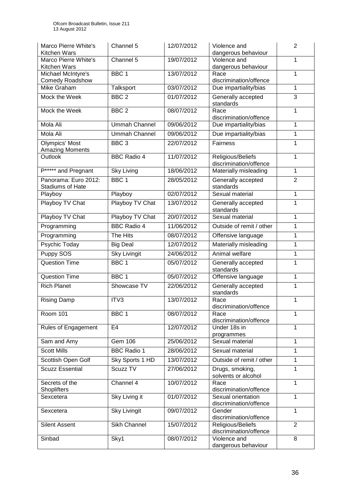| Marco Pierre White's<br>Kitchen Wars            | Channel 5            | 12/07/2012 | Violence and<br>dangerous behaviour          | $\mathbf{2}$   |
|-------------------------------------------------|----------------------|------------|----------------------------------------------|----------------|
| Marco Pierre White's<br>Kitchen Wars            | Channel 5            | 19/07/2012 | Violence and<br>dangerous behaviour          | 1              |
| Michael McIntyre's<br>Comedy Roadshow           | BBC <sub>1</sub>     | 13/07/2012 | Race<br>discrimination/offence               | 1              |
| Mike Graham                                     | Talksport            | 03/07/2012 | Due impartiality/bias                        | $\mathbf{1}$   |
| Mock the Week                                   | BBC <sub>2</sub>     | 01/07/2012 | Generally accepted<br>standards              | $\overline{3}$ |
| Mock the Week                                   | BBC <sub>2</sub>     | 08/07/2012 | Race<br>discrimination/offence               | $\mathbf{1}$   |
| Mola Ali                                        | <b>Ummah Channel</b> | 09/06/2012 | Due impartiality/bias                        | 1              |
| Mola Ali                                        | <b>Ummah Channel</b> | 09/06/2012 | Due impartiality/bias                        | $\mathbf{1}$   |
| <b>Olympics' Most</b><br><b>Amazing Moments</b> | BBC <sub>3</sub>     | 22/07/2012 | Fairness                                     | $\mathbf{1}$   |
| Outlook                                         | <b>BBC Radio 4</b>   | 11/07/2012 | Religious/Beliefs<br>discrimination/offence  | 1              |
| P***** and Pregnant                             | <b>Sky Living</b>    | 18/06/2012 | Materially misleading                        | 1              |
| Panorama: Euro 2012:<br><b>Stadiums of Hate</b> | BBC <sub>1</sub>     | 28/05/2012 | Generally accepted<br>standards              | $\overline{2}$ |
| Playboy                                         | Playboy              | 02/07/2012 | Sexual material                              | 1              |
| Playboy TV Chat                                 | Playboy TV Chat      | 13/07/2012 | Generally accepted<br>standards              | $\mathbf{1}$   |
| Playboy TV Chat                                 | Playboy TV Chat      | 20/07/2012 | Sexual material                              | 1              |
| Programming                                     | <b>BBC Radio 4</b>   | 11/06/2012 | Outside of remit / other                     | 1              |
| Programming                                     | The Hits             | 08/07/2012 | Offensive language                           | 1              |
| Psychic Today                                   | <b>Big Deal</b>      | 12/07/2012 | Materially misleading                        | $\mathbf{1}$   |
| Puppy SOS                                       | <b>Sky Livingit</b>  | 24/06/2012 | Animal welfare                               | 1              |
| <b>Question Time</b>                            | BBC <sub>1</sub>     | 05/07/2012 | Generally accepted<br>standards              | $\mathbf{1}$   |
| Question Time                                   | BBC <sub>1</sub>     | 05/07/2012 | Offensive language                           | 1              |
| <b>Rich Planet</b>                              | Showcase TV          | 22/06/2012 | Generally accepted<br>standards              | $\mathbf{1}$   |
| <b>Rising Damp</b>                              | ITV3                 | 13/07/2012 | Race<br>discrimination/offence               | 1              |
| Room 101                                        | BBC 1                | 08/07/2012 | Race<br>discrimination/offence               | $\mathbf{1}$   |
| <b>Rules of Engagement</b>                      | E <sub>4</sub>       | 12/07/2012 | Under 18s in<br>programmes                   | $\mathbf{1}$   |
| Sam and Amy                                     | <b>Gem 106</b>       | 25/06/2012 | Sexual material                              | 1              |
| <b>Scott Mills</b>                              | <b>BBC Radio 1</b>   | 28/06/2012 | Sexual material                              | 1              |
| Scottish Open Golf                              | Sky Sports 1 HD      | 13/07/2012 | Outside of remit / other                     | $\mathbf{1}$   |
| <b>Scuzz Essential</b>                          | Scuzz TV             | 27/06/2012 | Drugs, smoking,<br>solvents or alcohol       | 1              |
| Secrets of the<br>Shoplifters                   | Channel 4            | 10/07/2012 | Race<br>discrimination/offence               | $\mathbf{1}$   |
| Sexcetera                                       | Sky Living it        | 01/07/2012 | Sexual orientation<br>discrimination/offence | 1              |
| Sexcetera                                       | <b>Sky Livingit</b>  | 09/07/2012 | Gender<br>discrimination/offence             | 1              |
| <b>Silent Assent</b>                            | <b>Sikh Channel</b>  | 15/07/2012 | Religious/Beliefs<br>discrimination/offence  | $\overline{2}$ |
| Sinbad                                          | Sky1                 | 08/07/2012 | Violence and<br>dangerous behaviour          | 8              |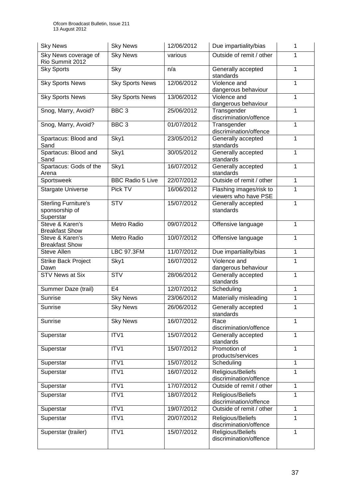| <b>Sky News</b>                                            | <b>Sky News</b>         | 12/06/2012 | Due impartiality/bias                           | 1            |
|------------------------------------------------------------|-------------------------|------------|-------------------------------------------------|--------------|
| Sky News coverage of<br>Rio Summit 2012                    | <b>Sky News</b>         | various    | Outside of remit / other                        | 1            |
| <b>Sky Sports</b>                                          | Sky                     | n/a        | Generally accepted<br>standards                 | $\mathbf{1}$ |
| <b>Sky Sports News</b>                                     | Sky Sports News         | 12/06/2012 | Violence and<br>dangerous behaviour             | $\mathbf{1}$ |
| <b>Sky Sports News</b>                                     | <b>Sky Sports News</b>  | 13/06/2012 | Violence and<br>dangerous behaviour             | $\mathbf{1}$ |
| Snog, Marry, Avoid?                                        | BBC <sub>3</sub>        | 25/06/2012 | Transgender<br>discrimination/offence           | $\mathbf{1}$ |
| Snog, Marry, Avoid?                                        | BBC <sub>3</sub>        | 01/07/2012 | Transgender<br>discrimination/offence           | $\mathbf{1}$ |
| Spartacus: Blood and<br>Sand                               | Sky1                    | 23/05/2012 | Generally accepted<br>standards                 | 1            |
| Spartacus: Blood and<br>Sand                               | Sky1                    | 30/05/2012 | Generally accepted<br>standards                 | 1            |
| Spartacus: Gods of the<br>Arena                            | Sky1                    | 16/07/2012 | Generally accepted<br>standards                 | 1            |
| Sportsweek                                                 | <b>BBC Radio 5 Live</b> | 22/07/2012 | Outside of remit / other                        | $\mathbf{1}$ |
| <b>Stargate Universe</b>                                   | Pick TV                 | 16/06/2012 | Flashing images/risk to<br>viewers who have PSE | 1            |
| <b>Sterling Furniture's</b><br>sponsorship of<br>Superstar | <b>STV</b>              | 15/07/2012 | Generally accepted<br>standards                 | 1            |
| Steve & Karen's<br><b>Breakfast Show</b>                   | Metro Radio             | 09/07/2012 | Offensive language                              | $\mathbf{1}$ |
| Steve & Karen's<br><b>Breakfast Show</b>                   | Metro Radio             | 10/07/2012 | Offensive language                              | $\mathbf{1}$ |
| Steve Allen                                                | <b>LBC 97.3FM</b>       | 11/07/2012 | Due impartiality/bias                           | $\mathbf{1}$ |
| Strike Back Project<br>Dawn                                | Sky1                    | 16/07/2012 | Violence and<br>dangerous behaviour             | $\mathbf{1}$ |
| <b>STV News at Six</b>                                     | $\overline{\text{STV}}$ | 28/06/2012 | Generally accepted<br>standards                 | 1            |
| Summer Daze (trail)                                        | E <sub>4</sub>          | 12/07/2012 | Scheduling                                      | $\mathbf{1}$ |
| Sunrise                                                    | <b>Sky News</b>         | 23/06/2012 | Materially misleading                           | 1            |
| Sunrise                                                    | <b>Sky News</b>         | 26/06/2012 | Generally accepted<br>standards                 | 1            |
| Sunrise                                                    | <b>Sky News</b>         | 16/07/2012 | Race<br>discrimination/offence                  | 1            |
| Superstar                                                  | ITV1                    | 15/07/2012 | Generally accepted<br>standards                 | $\mathbf{1}$ |
| Superstar                                                  | ITV1                    | 15/07/2012 | Promotion of<br>products/services               | $\mathbf{1}$ |
| Superstar                                                  | ITV1                    | 15/07/2012 | Scheduling                                      | 1            |
| Superstar                                                  | ITV1                    | 16/07/2012 | Religious/Beliefs<br>discrimination/offence     | $\mathbf{1}$ |
| Superstar                                                  | ITV1                    | 17/07/2012 | Outside of remit / other                        | $\mathbf{1}$ |
| Superstar                                                  | ITV1                    | 18/07/2012 | Religious/Beliefs<br>discrimination/offence     | 1            |
| Superstar                                                  | ITV1                    | 19/07/2012 | Outside of remit / other                        | $\mathbf{1}$ |
| Superstar                                                  | ITV1                    | 20/07/2012 | Religious/Beliefs<br>discrimination/offence     | $\mathbf{1}$ |
| Superstar (trailer)                                        | ITV1                    | 15/07/2012 | Religious/Beliefs<br>discrimination/offence     | $\mathbf{1}$ |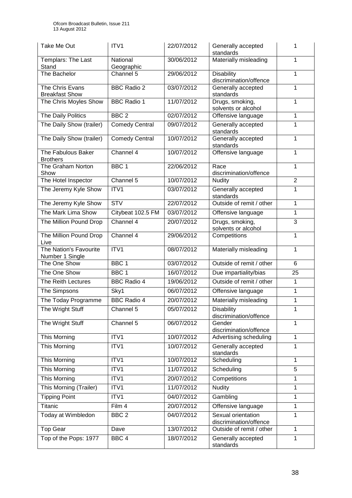| Take Me Out                               | ITV1                   | 22/07/2012 | Generally accepted<br>standards              | 1              |
|-------------------------------------------|------------------------|------------|----------------------------------------------|----------------|
| Templars: The Last<br>Stand               | National<br>Geographic | 30/06/2012 | Materially misleading                        | 1              |
| The Bachelor                              | Channel 5              | 29/06/2012 | <b>Disability</b><br>discrimination/offence  | 1              |
| The Chris Evans<br><b>Breakfast Show</b>  | <b>BBC Radio 2</b>     | 03/07/2012 | Generally accepted<br>standards              | 1              |
| The Chris Moyles Show                     | <b>BBC Radio 1</b>     | 11/07/2012 | Drugs, smoking,<br>solvents or alcohol       | 1              |
| The Daily Politics                        | BBC <sub>2</sub>       | 02/07/2012 | Offensive language<br>1                      |                |
| The Daily Show (trailer)                  | <b>Comedy Central</b>  | 09/07/2012 | Generally accepted<br>standards              | 1              |
| The Daily Show (trailer)                  | <b>Comedy Central</b>  | 10/07/2012 | Generally accepted<br>1<br>standards         |                |
| The Fabulous Baker<br><b>Brothers</b>     | Channel 4              | 10/07/2012 | 1<br>Offensive language                      |                |
| The Graham Norton<br>Show                 | BBC <sub>1</sub>       | 22/06/2012 | Race<br>1<br>discrimination/offence          |                |
| The Hotel Inspector                       | Channel 5              | 10/07/2012 | <b>Nudity</b>                                | $\overline{2}$ |
| The Jeremy Kyle Show                      | ITV1                   | 03/07/2012 | Generally accepted<br>standards              | 1              |
| The Jeremy Kyle Show                      | <b>STV</b>             | 22/07/2012 | Outside of remit / other                     | 1              |
| The Mark Lima Show                        | Citybeat 102.5 FM      | 03/07/2012 | Offensive language                           | 1              |
| The Million Pound Drop                    | Channel 4              | 20/07/2012 | Drugs, smoking,<br>solvents or alcohol       | 3              |
| The Million Pound Drop<br>Live            | Channel 4              | 29/06/2012 | Competitions                                 | $\mathbf{1}$   |
| The Nation's Favourite<br>Number 1 Single | ITV1                   | 08/07/2012 | Materially misleading                        | 1              |
| The One Show                              | BBC <sub>1</sub>       | 03/07/2012 | Outside of remit / other<br>$6\phantom{1}$   |                |
| The One Show                              | BBC <sub>1</sub>       | 16/07/2012 | Due impartiality/bias<br>25                  |                |
| The Reith Lectures                        | <b>BBC Radio 4</b>     | 19/06/2012 | Outside of remit / other                     | 1              |
| The Simpsons                              | Sky1                   | 06/07/2012 | Offensive language                           | $\mathbf{1}$   |
| The Today Programme                       | <b>BBC Radio 4</b>     | 20/07/2012 | Materially misleading                        | 1              |
| The Wright Stuff                          | Channel 5              | 05/07/2012 | <b>Disability</b><br>discrimination/offence  | 1              |
| The Wright Stuff                          | Channel 5              | 06/07/2012 | Gender<br>discrimination/offence             | 1              |
| This Morning                              | ITV1                   | 10/07/2012 | Advertising scheduling                       | $\mathbf{1}$   |
| This Morning                              | ITV1                   | 10/07/2012 | Generally accepted<br>standards              | 1              |
| This Morning                              | ITV1                   | 10/07/2012 | Scheduling                                   | $\mathbf{1}$   |
| <b>This Morning</b>                       | ITV1                   | 11/07/2012 | Scheduling                                   | 5              |
| <b>This Morning</b>                       | ITV1                   | 20/07/2012 | Competitions                                 | 1              |
| This Morning (Trailer)                    | ITV1                   | 11/07/2012 | <b>Nudity</b>                                | 1              |
| <b>Tipping Point</b>                      | ITV1                   | 04/07/2012 | Gambling                                     | 1              |
| Titanic                                   | Film 4                 | 20/07/2012 | Offensive language<br>1                      |                |
| Today at Wimbledon                        | BBC <sub>2</sub>       | 04/07/2012 | Sexual orientation<br>discrimination/offence | 1              |
| <b>Top Gear</b>                           | Dave                   | 13/07/2012 | Outside of remit / other                     | $\mathbf{1}$   |
| Top of the Pops: 1977                     | BBC <sub>4</sub>       | 18/07/2012 | Generally accepted<br>standards              | $\mathbf{1}$   |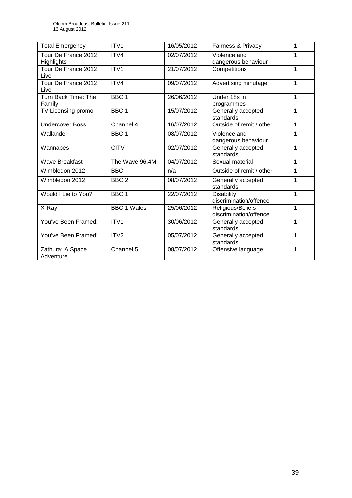| <b>Total Emergency</b>            | ITV1               | 16/05/2012 | Fairness & Privacy                                   | 1            |
|-----------------------------------|--------------------|------------|------------------------------------------------------|--------------|
| Tour De France 2012<br>Highlights | ITV4               | 02/07/2012 | Violence and<br>dangerous behaviour                  | 1            |
| Tour De France 2012<br>Live       | ITV1               | 21/07/2012 | Competitions                                         | 1            |
| Tour De France 2012<br>Live       | ITV4               | 09/07/2012 | Advertising minutage                                 | 1            |
| Turn Back Time: The<br>Family     | BBC <sub>1</sub>   | 26/06/2012 | Under 18s in<br>programmes                           | $\mathbf{1}$ |
| TV Licensing promo                | BBC <sub>1</sub>   | 15/07/2012 | Generally accepted<br>$\mathbf{1}$<br>standards      |              |
| <b>Undercover Boss</b>            | Channel 4          | 16/07/2012 | Outside of remit / other                             | $\mathbf{1}$ |
| Wallander                         | BBC <sub>1</sub>   | 08/07/2012 | Violence and<br>dangerous behaviour                  | 1            |
| Wannabes                          | <b>CITV</b>        | 02/07/2012 | Generally accepted<br>standards                      | $\mathbf{1}$ |
| <b>Wave Breakfast</b>             | The Wave 96.4M     | 04/07/2012 | Sexual material                                      | $\mathbf{1}$ |
| Wimbledon 2012                    | <b>BBC</b>         | n/a        | Outside of remit / other                             | 1            |
| Wimbledon 2012                    | BBC <sub>2</sub>   | 08/07/2012 | $\mathbf{1}$<br>Generally accepted<br>standards      |              |
| Would I Lie to You?               | BBC <sub>1</sub>   | 22/07/2012 | $\mathbf{1}$<br>Disability<br>discrimination/offence |              |
| X-Ray                             | <b>BBC 1 Wales</b> | 25/06/2012 | 1<br>Religious/Beliefs<br>discrimination/offence     |              |
| You've Been Framed!               | ITV1               | 30/06/2012 | Generally accepted<br>1<br>standards                 |              |
| You've Been Framed!               | ITV <sub>2</sub>   | 05/07/2012 | $\mathbf{1}$<br>Generally accepted<br>standards      |              |
| Zathura: A Space<br>Adventure     | Channel 5          | 08/07/2012 | 1<br>Offensive language                              |              |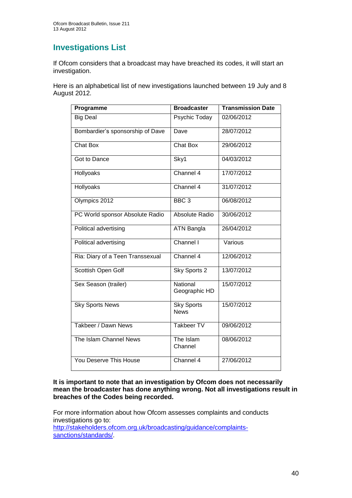## **Investigations List**

If Ofcom considers that a broadcast may have breached its codes, it will start an investigation.

Here is an alphabetical list of new investigations launched between 19 July and 8 August 2012.

| Programme                        | <b>Broadcaster</b>               | <b>Transmission Date</b> |  |
|----------------------------------|----------------------------------|--------------------------|--|
| <b>Big Deal</b>                  | Psychic Today                    | 02/06/2012               |  |
| Bombardier's sponsorship of Dave | Dave                             | 28/07/2012               |  |
| <b>Chat Box</b>                  | <b>Chat Box</b>                  | 29/06/2012               |  |
| Got to Dance                     | Sky1                             | 04/03/2012               |  |
| Hollyoaks                        | Channel 4                        | 17/07/2012               |  |
| Hollyoaks                        | Channel 4                        | 31/07/2012               |  |
| Olympics 2012                    | BBC <sub>3</sub>                 | 06/08/2012               |  |
| PC World sponsor Absolute Radio  | <b>Absolute Radio</b>            | 30/06/2012               |  |
| Political advertising            | <b>ATN Bangla</b>                | 26/04/2012               |  |
| Political advertising            | Channel I                        | Various                  |  |
| Ria: Diary of a Teen Transsexual | Channel 4                        | 12/06/2012               |  |
| Scottish Open Golf               | Sky Sports 2                     | 13/07/2012               |  |
| Sex Season (trailer)             | National<br>Geographic HD        | 15/07/2012               |  |
| <b>Sky Sports News</b>           | <b>Sky Sports</b><br><b>News</b> | 15/07/2012               |  |
| Takbeer / Dawn News              | <b>Takbeer TV</b>                | 09/06/2012               |  |
| The Islam Channel News           | The Islam<br>Channel             | 08/06/2012               |  |
| You Deserve This House           | Channel 4                        | 27/06/2012               |  |

**It is important to note that an investigation by Ofcom does not necessarily mean the broadcaster has done anything wrong. Not all investigations result in breaches of the Codes being recorded.**

For more information about how Ofcom assesses complaints and conducts investigations go to: [http://stakeholders.ofcom.org.uk/broadcasting/guidance/complaints](http://stakeholders.ofcom.org.uk/broadcasting/guidance/complaints-sanctions/standards/)sanctions/standards/